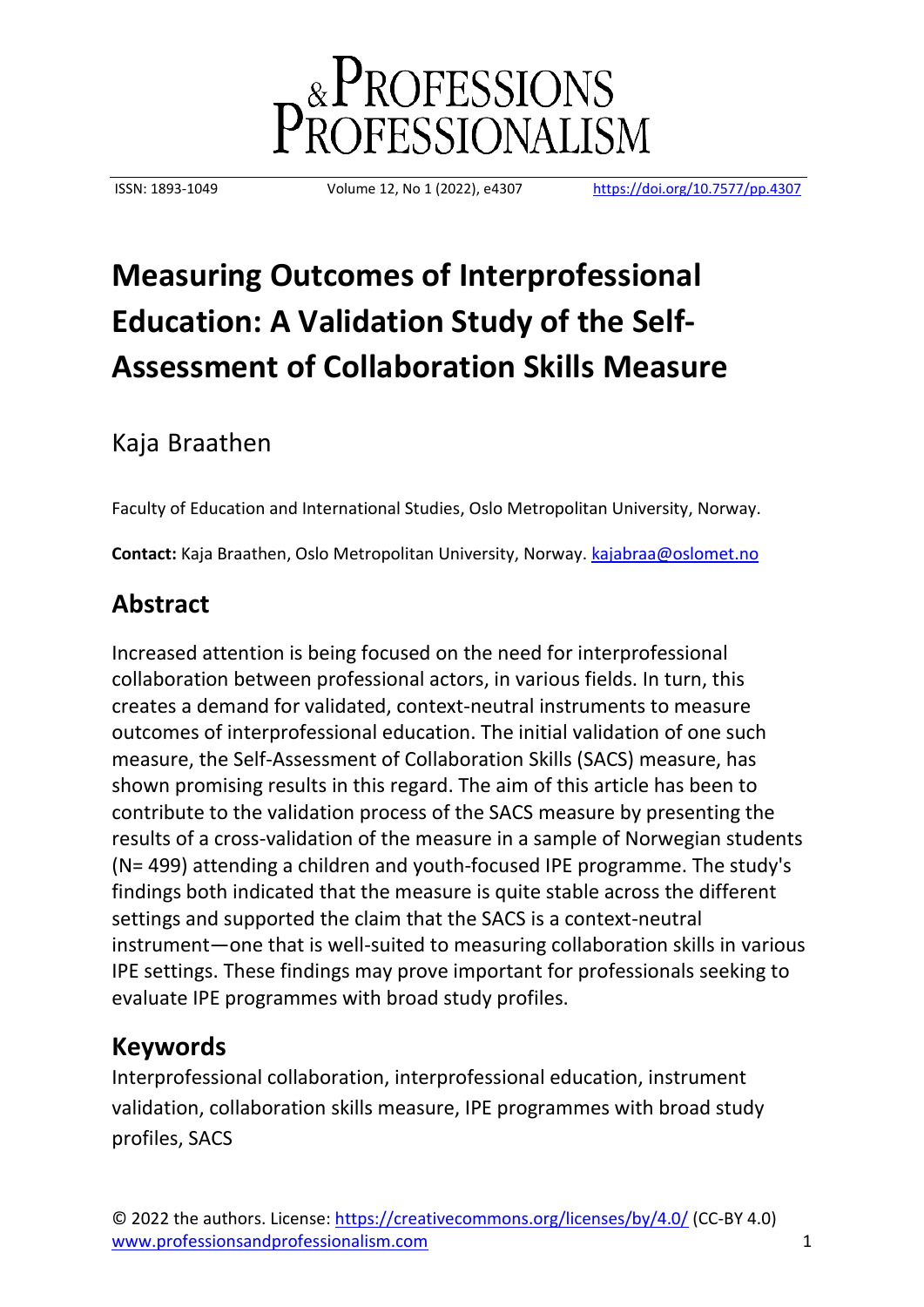

ISSN: 1893-1049 Volume 12, No 1 (2022), e4307 <https://doi.org/10.7577/pp.4307>

# **Measuring Outcomes of Interprofessional Education: A Validation Study of the Self-Assessment of Collaboration Skills Measure**

# Kaja Braathen

Faculty of Education and International Studies, Oslo Metropolitan University, Norway.

**Contact:** Kaja Braathen, Oslo Metropolitan University, Norway. [kajabraa@oslomet.no](mailto:kajabraa@oslomet.no)

# **Abstract**

Increased attention is being focused on the need for interprofessional collaboration between professional actors, in various fields. In turn, this creates a demand for validated, context-neutral instruments to measure outcomes of interprofessional education. The initial validation of one such measure, the Self-Assessment of Collaboration Skills (SACS) measure, has shown promising results in this regard. The aim of this article has been to contribute to the validation process of the SACS measure by presenting the results of a cross-validation of the measure in a sample of Norwegian students (N= 499) attending a children and youth-focused IPE programme. The study's findings both indicated that the measure is quite stable across the different settings and supported the claim that the SACS is a context-neutral instrument—one that is well-suited to measuring collaboration skills in various IPE settings. These findings may prove important for professionals seeking to evaluate IPE programmes with broad study profiles.

# **Keywords**

Interprofessional collaboration, interprofessional education, instrument validation, collaboration skills measure, IPE programmes with broad study profiles, SACS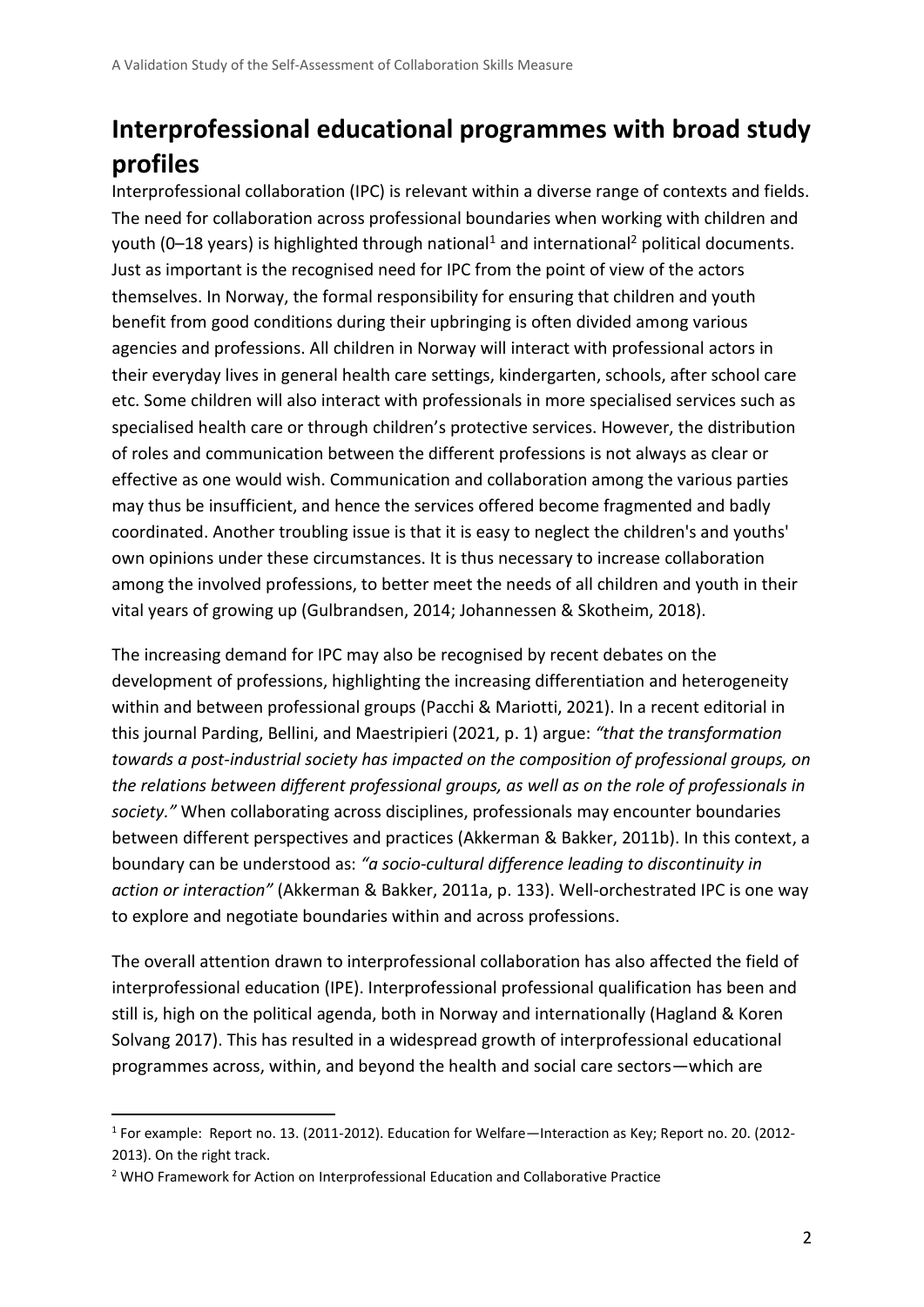# **Interprofessional educational programmes with broad study profiles**

Interprofessional collaboration (IPC) is relevant within a diverse range of contexts and fields. The need for collaboration across professional boundaries when working with children and youth (0–18 years) is highlighted through national<sup>1</sup> and international<sup>2</sup> political documents. Just as important is the recognised need for IPC from the point of view of the actors themselves. In Norway, the formal responsibility for ensuring that children and youth benefit from good conditions during their upbringing is often divided among various agencies and professions. All children in Norway will interact with professional actors in their everyday lives in general health care settings, kindergarten, schools, after school care etc. Some children will also interact with professionals in more specialised services such as specialised health care or through children's protective services. However, the distribution of roles and communication between the different professions is not always as clear or effective as one would wish. Communication and collaboration among the various parties may thus be insufficient, and hence the services offered become fragmented and badly coordinated. Another troubling issue is that it is easy to neglect the children's and youths' own opinions under these circumstances. It is thus necessary to increase collaboration among the involved professions, to better meet the needs of all children and youth in their vital years of growing up (Gulbrandsen, 2014; Johannessen & Skotheim, 2018).

The increasing demand for IPC may also be recognised by recent debates on the development of professions, highlighting the increasing differentiation and heterogeneity within and between professional groups (Pacchi & Mariotti, 2021). In a recent editorial in this journal Parding, Bellini, and Maestripieri (2021, p. 1) argue: *"that the transformation towards a post-industrial society has impacted on the composition of professional groups, on the relations between different professional groups, as well as on the role of professionals in society."* When collaborating across disciplines, professionals may encounter boundaries between different perspectives and practices (Akkerman & Bakker, 2011b). In this context, a boundary can be understood as: *"a socio-cultural difference leading to discontinuity in action or interaction"* (Akkerman & Bakker, 2011a, p. 133). Well-orchestrated IPC is one way to explore and negotiate boundaries within and across professions.

The overall attention drawn to interprofessional collaboration has also affected the field of interprofessional education (IPE). Interprofessional professional qualification has been and still is, high on the political agenda, both in Norway and internationally (Hagland & Koren Solvang 2017). This has resulted in a widespread growth of interprofessional educational programmes across, within, and beyond the health and social care sectors—which are

<sup>1</sup> For example: Report no. 13. (2011-2012). Education for Welfare—Interaction as Key; Report no. 20. (2012- 2013). On the right track.

<sup>2</sup> WHO Framework for Action on Interprofessional Education and Collaborative Practice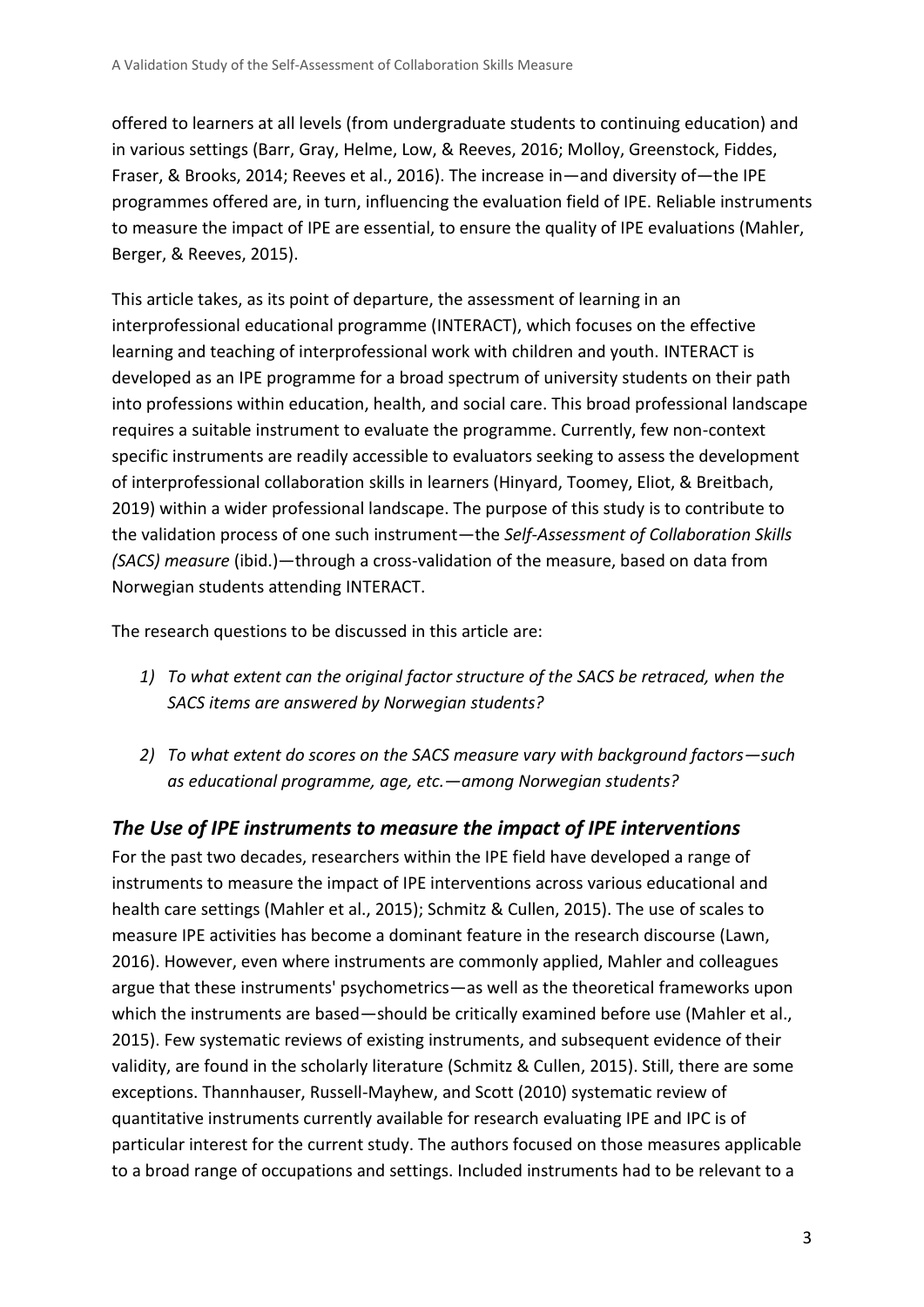offered to learners at all levels (from undergraduate students to continuing education) and in various settings (Barr, Gray, Helme, Low, & Reeves, 2016; Molloy, Greenstock, Fiddes, Fraser, & Brooks, 2014; Reeves et al., 2016). The increase in—and diversity of—the IPE programmes offered are, in turn, influencing the evaluation field of IPE. Reliable instruments to measure the impact of IPE are essential, to ensure the quality of IPE evaluations (Mahler, Berger, & Reeves, 2015).

This article takes, as its point of departure, the assessment of learning in an interprofessional educational programme (INTERACT), which focuses on the effective learning and teaching of interprofessional work with children and youth. INTERACT is developed as an IPE programme for a broad spectrum of university students on their path into professions within education, health, and social care. This broad professional landscape requires a suitable instrument to evaluate the programme. Currently, few non-context specific instruments are readily accessible to evaluators seeking to assess the development of interprofessional collaboration skills in learners (Hinyard, Toomey, Eliot, & Breitbach, 2019) within a wider professional landscape. The purpose of this study is to contribute to the validation process of one such instrument—the *Self-Assessment of Collaboration Skills (SACS) measure* (ibid.)—through a cross-validation of the measure, based on data from Norwegian students attending INTERACT.

The research questions to be discussed in this article are:

- *1) To what extent can the original factor structure of the SACS be retraced, when the SACS items are answered by Norwegian students?*
- *2) To what extent do scores on the SACS measure vary with background factors—such as educational programme, age, etc.—among Norwegian students?*

#### *The Use of IPE instruments to measure the impact of IPE interventions*

For the past two decades, researchers within the IPE field have developed a range of instruments to measure the impact of IPE interventions across various educational and health care settings (Mahler et al., 2015); Schmitz & Cullen, 2015). The use of scales to measure IPE activities has become a dominant feature in the research discourse (Lawn, 2016). However, even where instruments are commonly applied, Mahler and colleagues argue that these instruments' psychometrics—as well as the theoretical frameworks upon which the instruments are based—should be critically examined before use (Mahler et al., 2015). Few systematic reviews of existing instruments, and subsequent evidence of their validity, are found in the scholarly literature (Schmitz & Cullen, 2015). Still, there are some exceptions. Thannhauser, Russell-Mayhew, and Scott (2010) systematic review of quantitative instruments currently available for research evaluating IPE and IPC is of particular interest for the current study. The authors focused on those measures applicable to a broad range of occupations and settings. Included instruments had to be relevant to a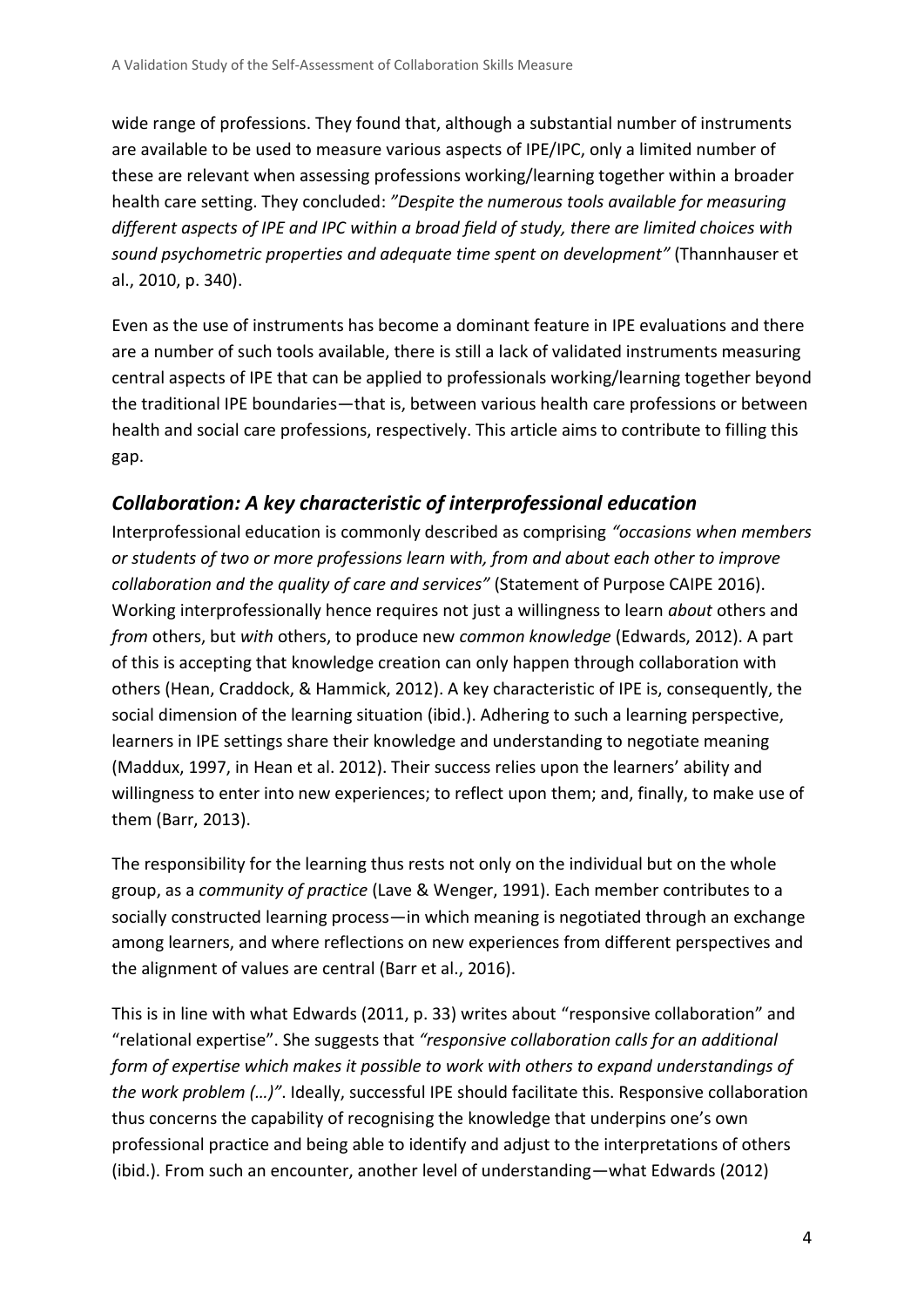wide range of professions. They found that, although a substantial number of instruments are available to be used to measure various aspects of IPE/IPC, only a limited number of these are relevant when assessing professions working/learning together within a broader health care setting. They concluded: *"Despite the numerous tools available for measuring different aspects of IPE and IPC within a broad field of study, there are limited choices with sound psychometric properties and adequate time spent on development"* (Thannhauser et al., 2010, p. 340).

Even as the use of instruments has become a dominant feature in IPE evaluations and there are a number of such tools available, there is still a lack of validated instruments measuring central aspects of IPE that can be applied to professionals working/learning together beyond the traditional IPE boundaries—that is, between various health care professions or between health and social care professions, respectively. This article aims to contribute to filling this gap.

#### *Collaboration: A key characteristic of interprofessional education*

Interprofessional education is commonly described as comprising *"occasions when members or students of two or more professions learn with, from and about each other to improve collaboration and the quality of care and services"* (Statement of Purpose CAIPE 2016). Working interprofessionally hence requires not just a willingness to learn *about* others and *from* others, but *with* others, to produce new *common knowledge* (Edwards, 2012). A part of this is accepting that knowledge creation can only happen through collaboration with others (Hean, Craddock, & Hammick, 2012). A key characteristic of IPE is, consequently, the social dimension of the learning situation (ibid.). Adhering to such a learning perspective, learners in IPE settings share their knowledge and understanding to negotiate meaning (Maddux, 1997, in Hean et al. 2012). Their success relies upon the learners' ability and willingness to enter into new experiences; to reflect upon them; and, finally, to make use of them (Barr, 2013).

The responsibility for the learning thus rests not only on the individual but on the whole group, as a *community of practice* (Lave & Wenger, 1991). Each member contributes to a socially constructed learning process—in which meaning is negotiated through an exchange among learners, and where reflections on new experiences from different perspectives and the alignment of values are central (Barr et al., 2016).

This is in line with what Edwards (2011, p. 33) writes about "responsive collaboration" and "relational expertise". She suggests that *"responsive collaboration calls for an additional form of expertise which makes it possible to work with others to expand understandings of the work problem (…)"*. Ideally, successful IPE should facilitate this. Responsive collaboration thus concerns the capability of recognising the knowledge that underpins one's own professional practice and being able to identify and adjust to the interpretations of others (ibid.). From such an encounter, another level of understanding—what Edwards (2012)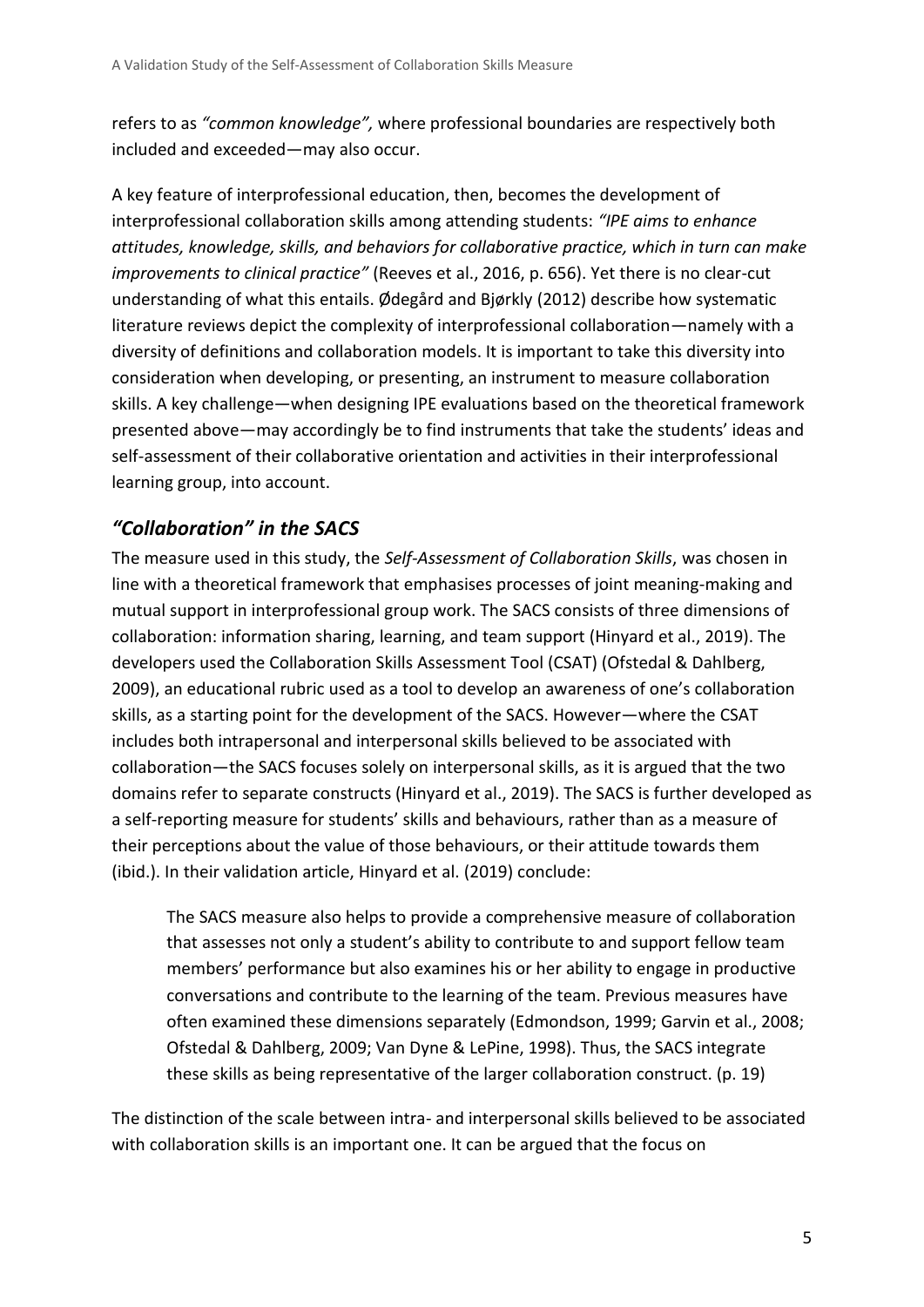refers to as *"common knowledge",* where professional boundaries are respectively both included and exceeded—may also occur.

A key feature of interprofessional education, then, becomes the development of interprofessional collaboration skills among attending students: *"IPE aims to enhance attitudes, knowledge, skills, and behaviors for collaborative practice, which in turn can make improvements to clinical practice"* (Reeves et al., 2016, p. 656). Yet there is no clear-cut understanding of what this entails. Ødegård and Bjørkly (2012) describe how systematic literature reviews depict the complexity of interprofessional collaboration—namely with a diversity of definitions and collaboration models. It is important to take this diversity into consideration when developing, or presenting, an instrument to measure collaboration skills. A key challenge—when designing IPE evaluations based on the theoretical framework presented above—may accordingly be to find instruments that take the students' ideas and self-assessment of their collaborative orientation and activities in their interprofessional learning group, into account.

#### *"Collaboration" in the SACS*

The measure used in this study, the *Self-Assessment of Collaboration Skills*, was chosen in line with a theoretical framework that emphasises processes of joint meaning-making and mutual support in interprofessional group work. The SACS consists of three dimensions of collaboration: information sharing, learning, and team support (Hinyard et al., 2019). The developers used the Collaboration Skills Assessment Tool (CSAT) (Ofstedal & Dahlberg, 2009), an educational rubric used as a tool to develop an awareness of one's collaboration skills, as a starting point for the development of the SACS. However—where the CSAT includes both intrapersonal and interpersonal skills believed to be associated with collaboration—the SACS focuses solely on interpersonal skills, as it is argued that the two domains refer to separate constructs (Hinyard et al., 2019). The SACS is further developed as a self-reporting measure for students' skills and behaviours, rather than as a measure of their perceptions about the value of those behaviours, or their attitude towards them (ibid.). In their validation article, Hinyard et al. (2019) conclude:

The SACS measure also helps to provide a comprehensive measure of collaboration that assesses not only a student's ability to contribute to and support fellow team members' performance but also examines his or her ability to engage in productive conversations and contribute to the learning of the team. Previous measures have often examined these dimensions separately (Edmondson, 1999; Garvin et al., 2008; Ofstedal & Dahlberg, 2009; Van Dyne & LePine, 1998). Thus, the SACS integrate these skills as being representative of the larger collaboration construct. (p. 19)

The distinction of the scale between intra- and interpersonal skills believed to be associated with collaboration skills is an important one. It can be argued that the focus on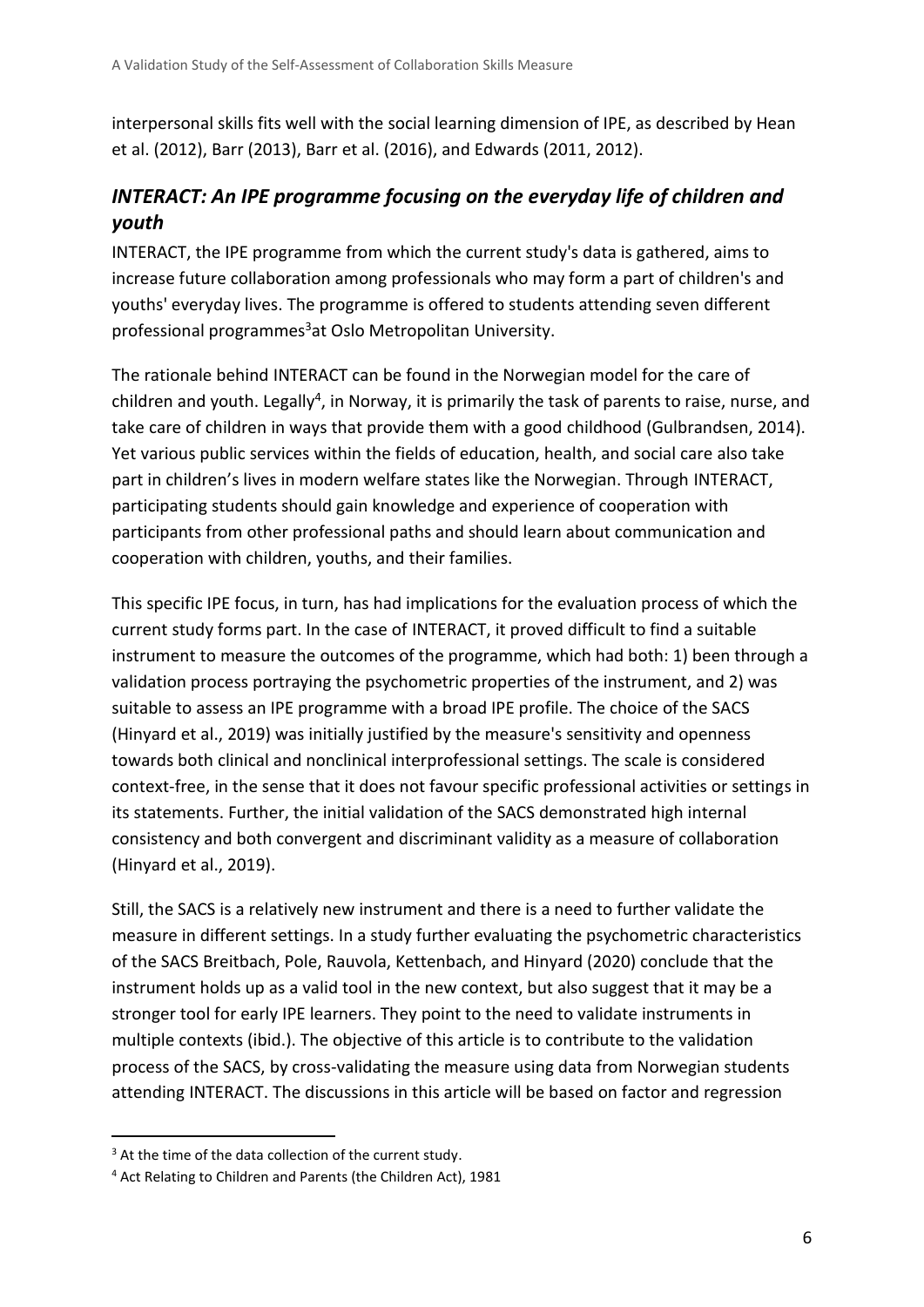interpersonal skills fits well with the social learning dimension of IPE, as described by Hean et al. (2012), Barr (2013), Barr et al. (2016), and Edwards (2011, 2012).

#### *INTERACT: An IPE programme focusing on the everyday life of children and youth*

INTERACT, the IPE programme from which the current study's data is gathered, aims to increase future collaboration among professionals who may form a part of children's and youths' everyday lives. The programme is offered to students attending seven different professional programmes <sup>3</sup>at Oslo Metropolitan University.

The rationale behind INTERACT can be found in the Norwegian model for the care of children and youth. Legally<sup>4</sup>, in Norway, it is primarily the task of parents to raise, nurse, and take care of children in ways that provide them with a good childhood (Gulbrandsen, 2014). Yet various public services within the fields of education, health, and social care also take part in children's lives in modern welfare states like the Norwegian. Through INTERACT, participating students should gain knowledge and experience of cooperation with participants from other professional paths and should learn about communication and cooperation with children, youths, and their families.

This specific IPE focus, in turn, has had implications for the evaluation process of which the current study forms part. In the case of INTERACT, it proved difficult to find a suitable instrument to measure the outcomes of the programme, which had both: 1) been through a validation process portraying the psychometric properties of the instrument, and 2) was suitable to assess an IPE programme with a broad IPE profile. The choice of the SACS (Hinyard et al., 2019) was initially justified by the measure's sensitivity and openness towards both clinical and nonclinical interprofessional settings. The scale is considered context-free, in the sense that it does not favour specific professional activities or settings in its statements. Further, the initial validation of the SACS demonstrated high internal consistency and both convergent and discriminant validity as a measure of collaboration (Hinyard et al., 2019).

Still, the SACS is a relatively new instrument and there is a need to further validate the measure in different settings. In a study further evaluating the psychometric characteristics of the SACS Breitbach, Pole, Rauvola, Kettenbach, and Hinyard (2020) conclude that the instrument holds up as a valid tool in the new context, but also suggest that it may be a stronger tool for early IPE learners. They point to the need to validate instruments in multiple contexts (ibid.). The objective of this article is to contribute to the validation process of the SACS, by cross-validating the measure using data from Norwegian students attending INTERACT. The discussions in this article will be based on factor and regression

<sup>&</sup>lt;sup>3</sup> At the time of the data collection of the current study.

<sup>4</sup> Act Relating to Children and Parents (the Children Act), 1981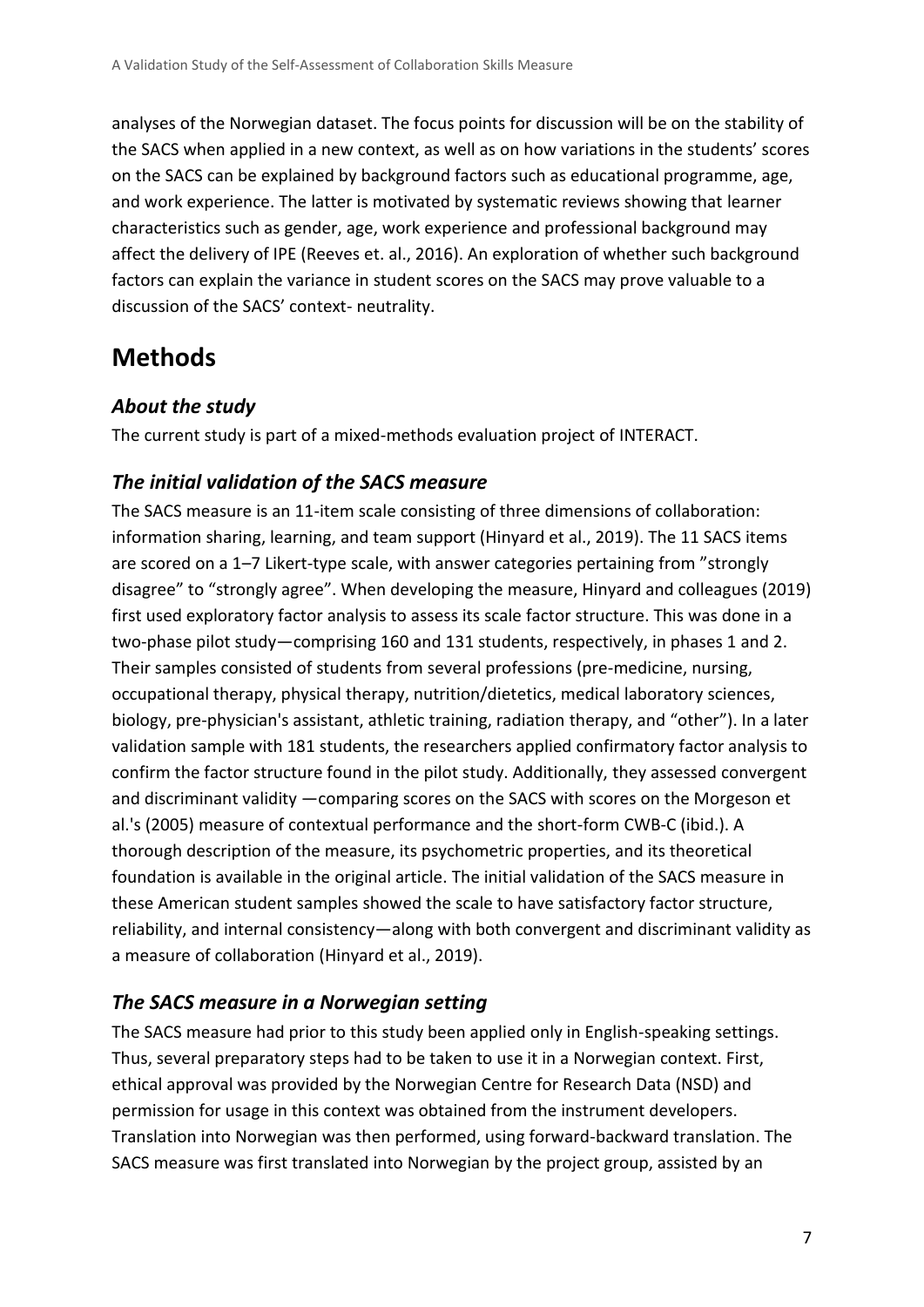analyses of the Norwegian dataset. The focus points for discussion will be on the stability of the SACS when applied in a new context, as well as on how variations in the students' scores on the SACS can be explained by background factors such as educational programme, age, and work experience. The latter is motivated by systematic reviews showing that learner characteristics such as gender, age, work experience and professional background may affect the delivery of IPE (Reeves et. al., 2016). An exploration of whether such background factors can explain the variance in student scores on the SACS may prove valuable to a discussion of the SACS' context- neutrality.

### **Methods**

#### *About the study*

The current study is part of a mixed-methods evaluation project of INTERACT.

#### *The initial validation of the SACS measure*

The SACS measure is an 11-item scale consisting of three dimensions of collaboration: information sharing, learning, and team support (Hinyard et al., 2019). The 11 SACS items are scored on a 1–7 Likert-type scale, with answer categories pertaining from "strongly disagree" to "strongly agree". When developing the measure, Hinyard and colleagues (2019) first used exploratory factor analysis to assess its scale factor structure. This was done in a two-phase pilot study—comprising 160 and 131 students, respectively, in phases 1 and 2. Their samples consisted of students from several professions (pre-medicine, nursing, occupational therapy, physical therapy, nutrition/dietetics, medical laboratory sciences, biology, pre-physician's assistant, athletic training, radiation therapy, and "other"). In a later validation sample with 181 students, the researchers applied confirmatory factor analysis to confirm the factor structure found in the pilot study. Additionally, they assessed convergent and discriminant validity —comparing scores on the SACS with scores on the Morgeson et al.'s (2005) measure of contextual performance and the short-form CWB-C (ibid.). A thorough description of the measure, its psychometric properties, and its theoretical foundation is available in the original article. The initial validation of the SACS measure in these American student samples showed the scale to have satisfactory factor structure, reliability, and internal consistency—along with both convergent and discriminant validity as a measure of collaboration (Hinyard et al., 2019).

#### *The SACS measure in a Norwegian setting*

The SACS measure had prior to this study been applied only in English-speaking settings. Thus, several preparatory steps had to be taken to use it in a Norwegian context. First, ethical approval was provided by the Norwegian Centre for Research Data (NSD) and permission for usage in this context was obtained from the instrument developers. Translation into Norwegian was then performed, using forward-backward translation. The SACS measure was first translated into Norwegian by the project group, assisted by an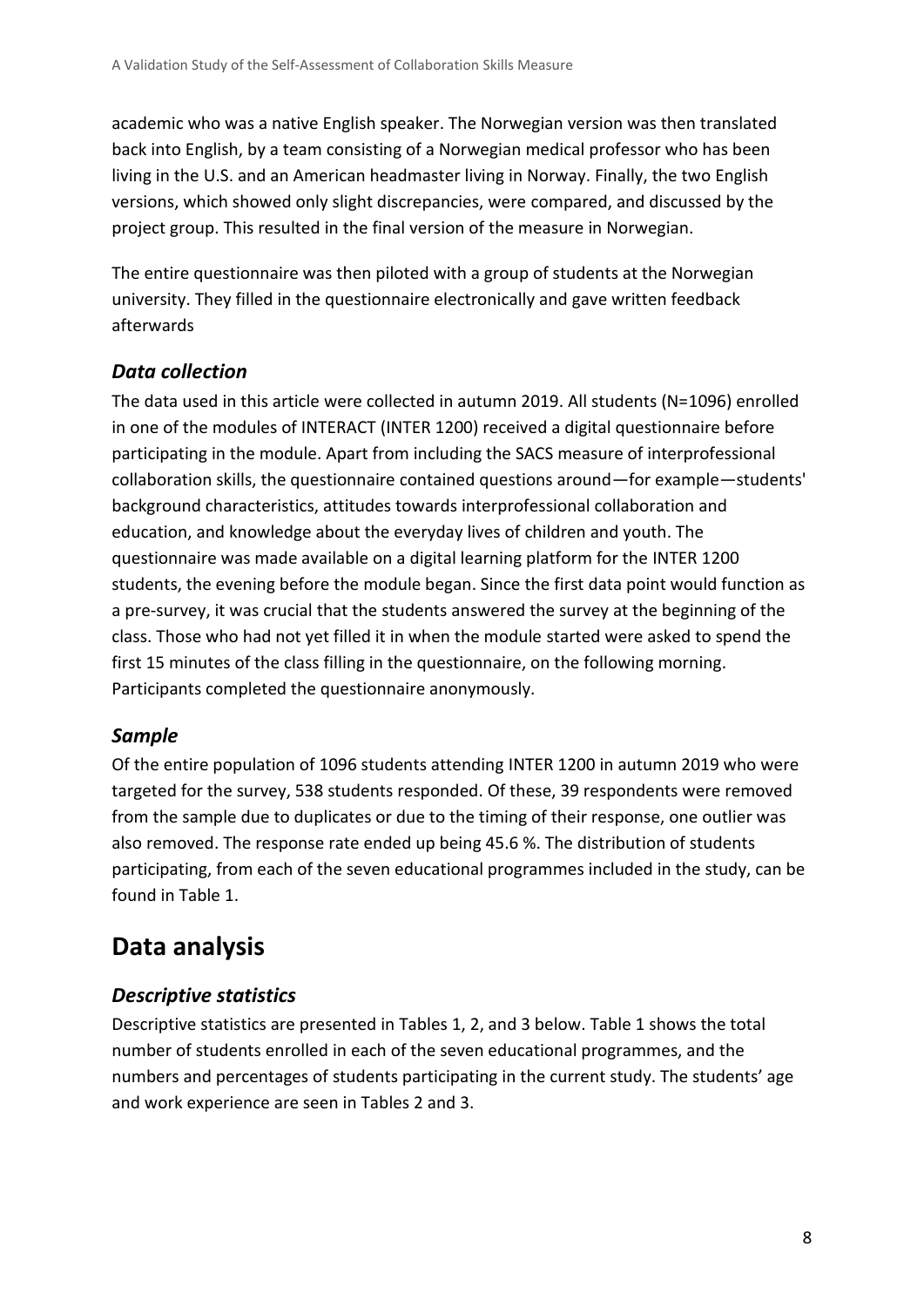academic who was a native English speaker. The Norwegian version was then translated back into English, by a team consisting of a Norwegian medical professor who has been living in the U.S. and an American headmaster living in Norway. Finally, the two English versions, which showed only slight discrepancies, were compared, and discussed by the project group. This resulted in the final version of the measure in Norwegian.

The entire questionnaire was then piloted with a group of students at the Norwegian university. They filled in the questionnaire electronically and gave written feedback afterwards

#### *Data collection*

The data used in this article were collected in autumn 2019. All students (N=1096) enrolled in one of the modules of INTERACT (INTER 1200) received a digital questionnaire before participating in the module. Apart from including the SACS measure of interprofessional collaboration skills, the questionnaire contained questions around—for example—students' background characteristics, attitudes towards interprofessional collaboration and education, and knowledge about the everyday lives of children and youth. The questionnaire was made available on a digital learning platform for the INTER 1200 students, the evening before the module began. Since the first data point would function as a pre-survey, it was crucial that the students answered the survey at the beginning of the class. Those who had not yet filled it in when the module started were asked to spend the first 15 minutes of the class filling in the questionnaire, on the following morning. Participants completed the questionnaire anonymously.

#### *Sample*

Of the entire population of 1096 students attending INTER 1200 in autumn 2019 who were targeted for the survey, 538 students responded. Of these, 39 respondents were removed from the sample due to duplicates or due to the timing of their response, one outlier was also removed. The response rate ended up being 45.6 %. The distribution of students participating, from each of the seven educational programmes included in the study, can be found in Table 1.

# **Data analysis**

#### *Descriptive statistics*

Descriptive statistics are presented in Tables 1, 2, and 3 below. Table 1 shows the total number of students enrolled in each of the seven educational programmes, and the numbers and percentages of students participating in the current study. The students' age and work experience are seen in Tables 2 and 3.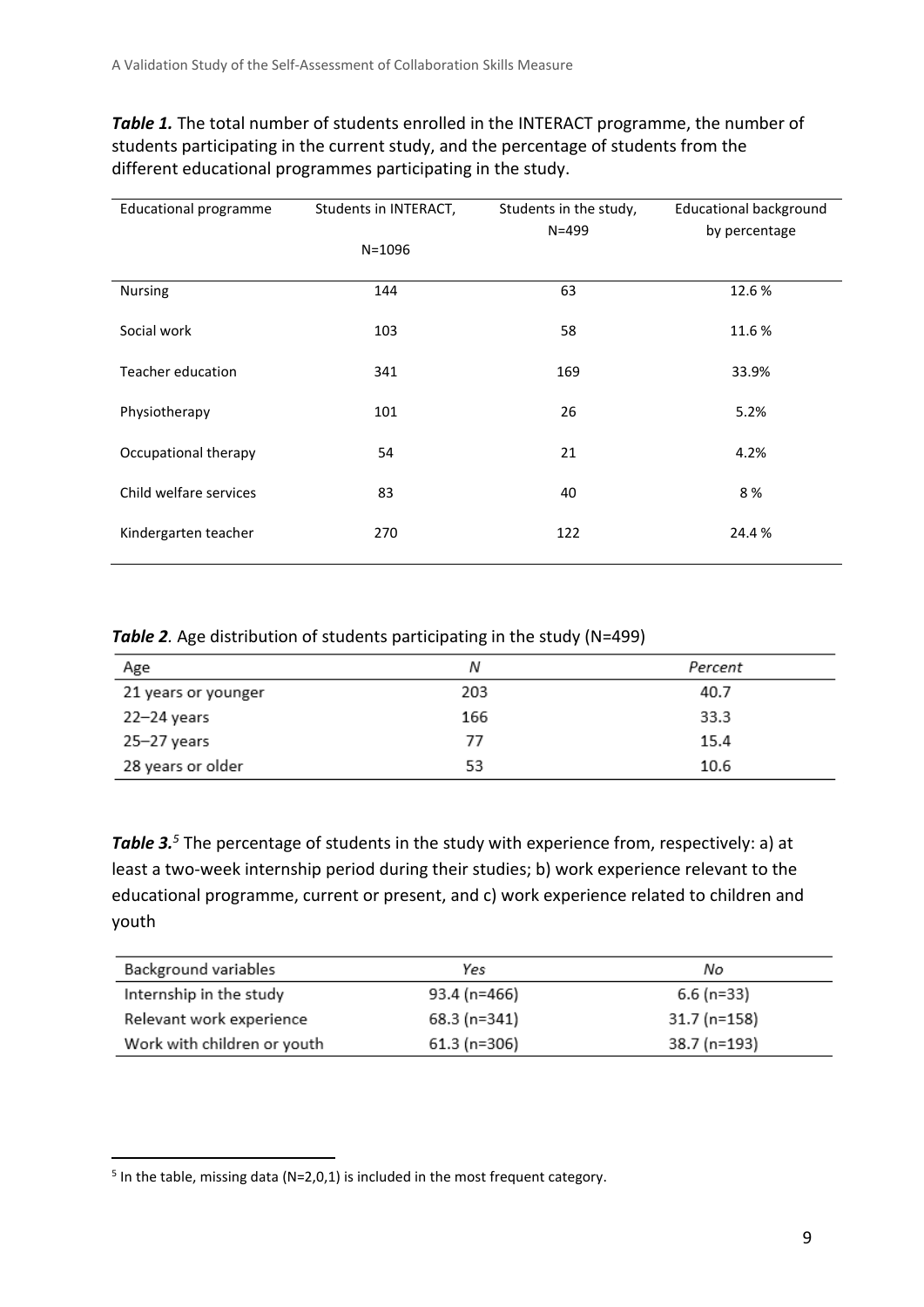**Table 1.** The total number of students enrolled in the INTERACT programme, the number of students participating in the current study, and the percentage of students from the different educational programmes participating in the study.

| <b>Educational programme</b> | Students in INTERACT, | Students in the study, | <b>Educational background</b> |  |
|------------------------------|-----------------------|------------------------|-------------------------------|--|
|                              |                       | $N = 499$              | by percentage                 |  |
|                              | $N = 1096$            |                        |                               |  |
| <b>Nursing</b>               | 144                   | 63                     | 12.6%                         |  |
|                              |                       |                        |                               |  |
| Social work                  | 103                   | 58                     | 11.6%                         |  |
|                              |                       |                        |                               |  |
| Teacher education            | 341                   | 169                    | 33.9%                         |  |
| Physiotherapy                | 101                   | 26                     | 5.2%                          |  |
|                              |                       |                        |                               |  |
| Occupational therapy         | 54                    | 21                     | 4.2%                          |  |
|                              |                       |                        |                               |  |
| Child welfare services       | 83                    | 40                     | 8%                            |  |
| Kindergarten teacher         | 270                   | 122                    | 24.4%                         |  |
|                              |                       |                        |                               |  |

**Table 2**. Age distribution of students participating in the study (N=499)

| Age                 | Ν   | Percent |
|---------------------|-----|---------|
| 21 years or younger | 203 | 40.7    |
| 22-24 years         | 166 | 33.3    |
| 25–27 years         | 77  | 15.4    |
| 28 years or older   | 53  | 10.6    |

**Table 3.**<sup>5</sup> The percentage of students in the study with experience from, respectively: a) at least a two-week internship period during their studies; b) work experience relevant to the educational programme, current or present, and c) work experience related to children and youth

| Background variables        | Yes           | No.          |
|-----------------------------|---------------|--------------|
| Internship in the study     | 93.4 (n=466)  | $6.6$ (n=33) |
| Relevant work experience    | 68.3 (n=341)  | 31.7 (n=158) |
| Work with children or youth | $61.3(n=306)$ | 38.7 (n=193) |

 $5$  In the table, missing data (N=2,0,1) is included in the most frequent category.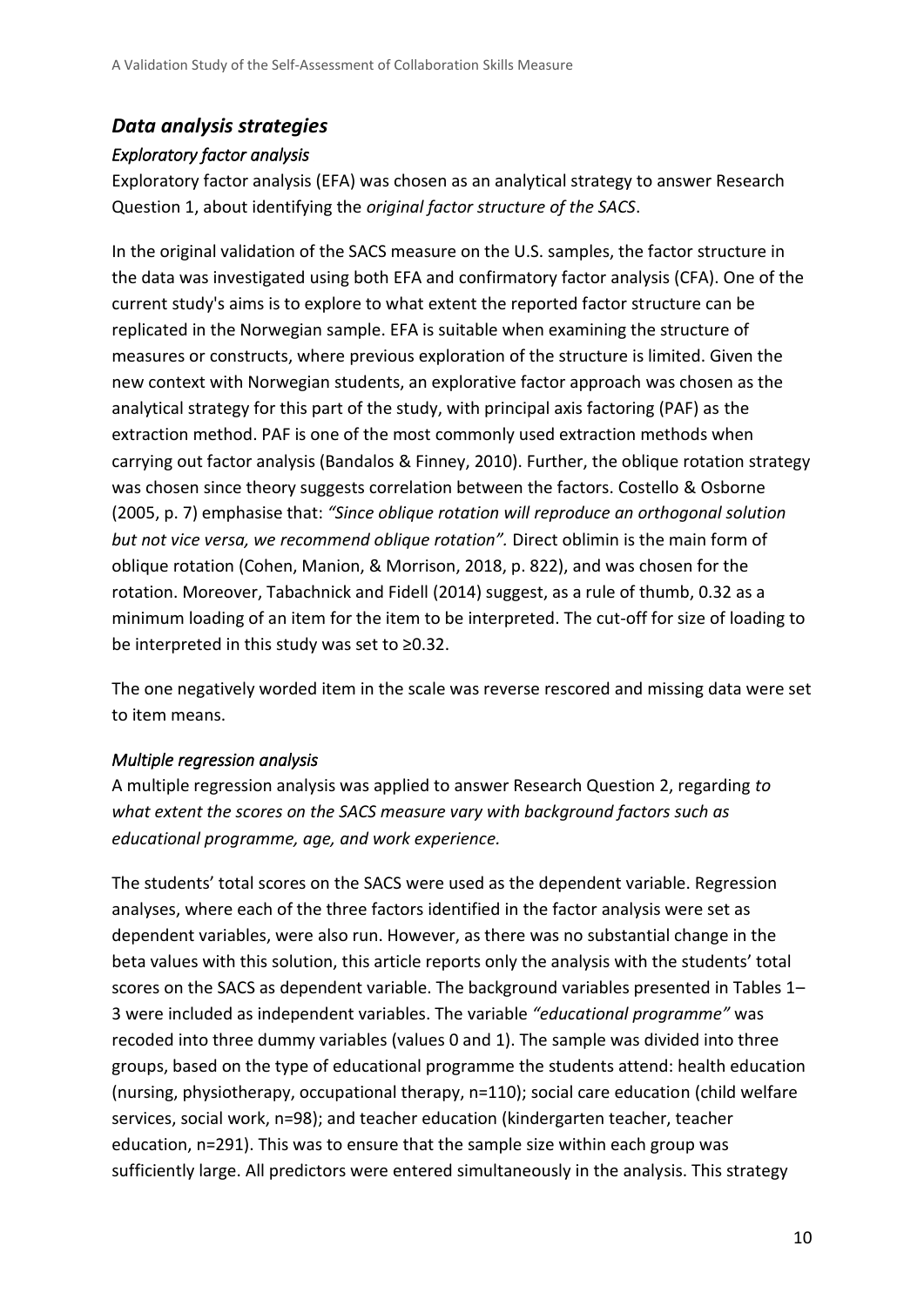#### *Data analysis strategies*

#### *Exploratory factor analysis*

Exploratory factor analysis (EFA) was chosen as an analytical strategy to answer Research Question 1, about identifying the *original factor structure of the SACS*.

In the original validation of the SACS measure on the U.S. samples, the factor structure in the data was investigated using both EFA and confirmatory factor analysis (CFA). One of the current study's aims is to explore to what extent the reported factor structure can be replicated in the Norwegian sample. EFA is suitable when examining the structure of measures or constructs, where previous exploration of the structure is limited. Given the new context with Norwegian students, an explorative factor approach was chosen as the analytical strategy for this part of the study, with principal axis factoring (PAF) as the extraction method. PAF is one of the most commonly used extraction methods when carrying out factor analysis (Bandalos & Finney, 2010). Further, the oblique rotation strategy was chosen since theory suggests correlation between the factors. Costello & Osborne (2005, p. 7) emphasise that: *"Since oblique rotation will reproduce an orthogonal solution but not vice versa, we recommend oblique rotation".* Direct oblimin is the main form of oblique rotation (Cohen, Manion, & Morrison, 2018, p. 822), and was chosen for the rotation. Moreover, Tabachnick and Fidell (2014) suggest, as a rule of thumb, 0.32 as a minimum loading of an item for the item to be interpreted. The cut-off for size of loading to be interpreted in this study was set to ≥0.32.

The one negatively worded item in the scale was reverse rescored and missing data were set to item means.

#### *Multiple regression analysis*

A multiple regression analysis was applied to answer Research Question 2, regarding *to what extent the scores on the SACS measure vary with background factors such as educational programme, age, and work experience.* 

The students' total scores on the SACS were used as the dependent variable. Regression analyses, where each of the three factors identified in the factor analysis were set as dependent variables, were also run. However, as there was no substantial change in the beta values with this solution, this article reports only the analysis with the students' total scores on the SACS as dependent variable. The background variables presented in Tables 1– 3 were included as independent variables. The variable *"educational programme"* was recoded into three dummy variables (values 0 and 1). The sample was divided into three groups, based on the type of educational programme the students attend: health education (nursing, physiotherapy, occupational therapy, n=110); social care education (child welfare services, social work, n=98); and teacher education (kindergarten teacher, teacher education, n=291). This was to ensure that the sample size within each group was sufficiently large. All predictors were entered simultaneously in the analysis. This strategy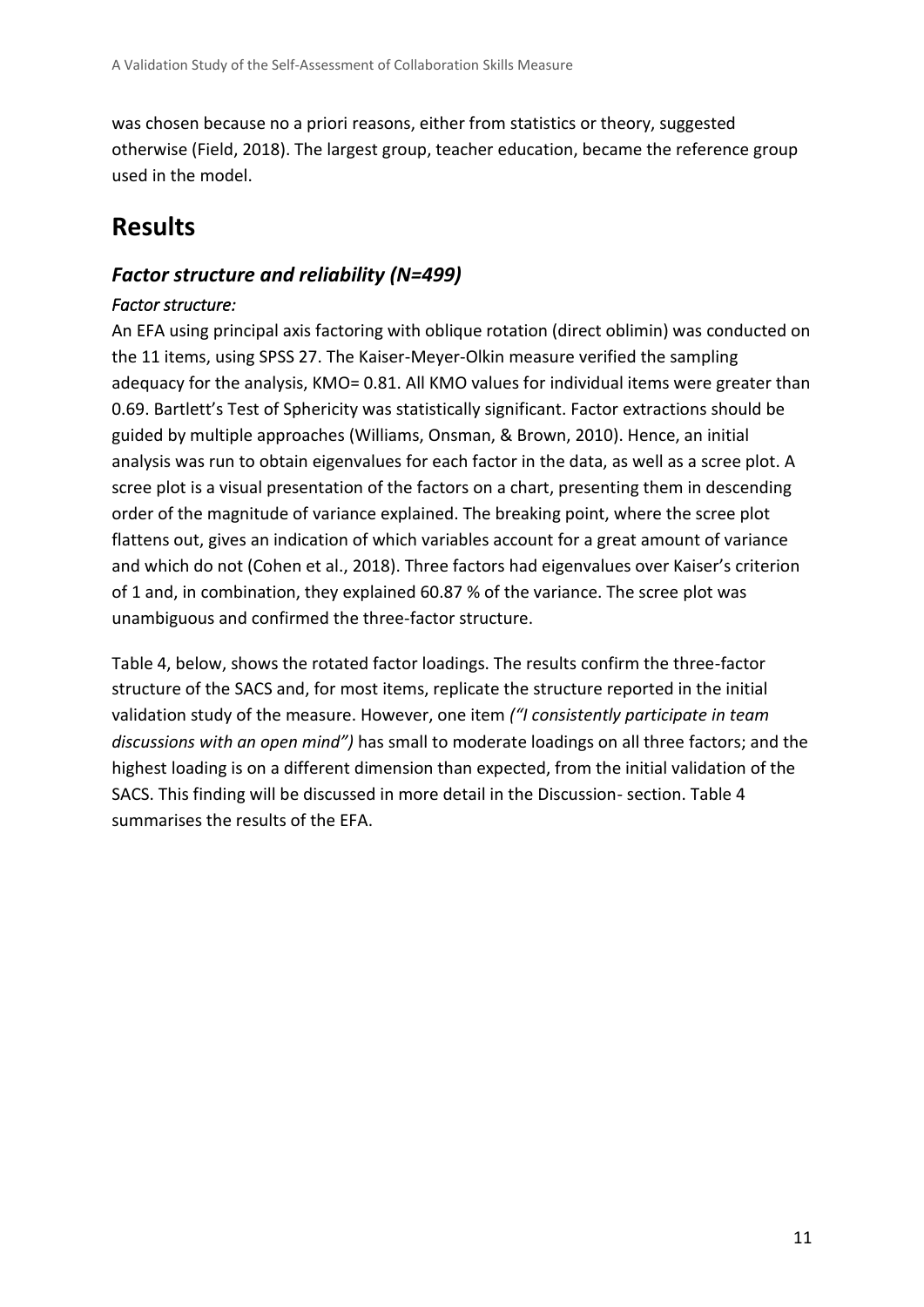was chosen because no a priori reasons, either from statistics or theory, suggested otherwise (Field, 2018). The largest group, teacher education, became the reference group used in the model.

# **Results**

#### *Factor structure and reliability (N=499) Factor structure:*

An EFA using principal axis factoring with oblique rotation (direct oblimin) was conducted on the 11 items, using SPSS 27. The Kaiser-Meyer-Olkin measure verified the sampling adequacy for the analysis, KMO= 0.81. All KMO values for individual items were greater than 0.69. Bartlett's Test of Sphericity was statistically significant. Factor extractions should be guided by multiple approaches (Williams, Onsman, & Brown, 2010). Hence, an initial analysis was run to obtain eigenvalues for each factor in the data, as well as a scree plot. A scree plot is a visual presentation of the factors on a chart, presenting them in descending order of the magnitude of variance explained. The breaking point, where the scree plot flattens out, gives an indication of which variables account for a great amount of variance and which do not (Cohen et al., 2018). Three factors had eigenvalues over Kaiser's criterion of 1 and, in combination, they explained 60.87 % of the variance. The scree plot was unambiguous and confirmed the three-factor structure.

Table 4, below, shows the rotated factor loadings. The results confirm the three-factor structure of the SACS and, for most items, replicate the structure reported in the initial validation study of the measure. However, one item *("I consistently participate in team discussions with an open mind")* has small to moderate loadings on all three factors; and the highest loading is on a different dimension than expected, from the initial validation of the SACS. This finding will be discussed in more detail in the Discussion- section. Table 4 summarises the results of the EFA.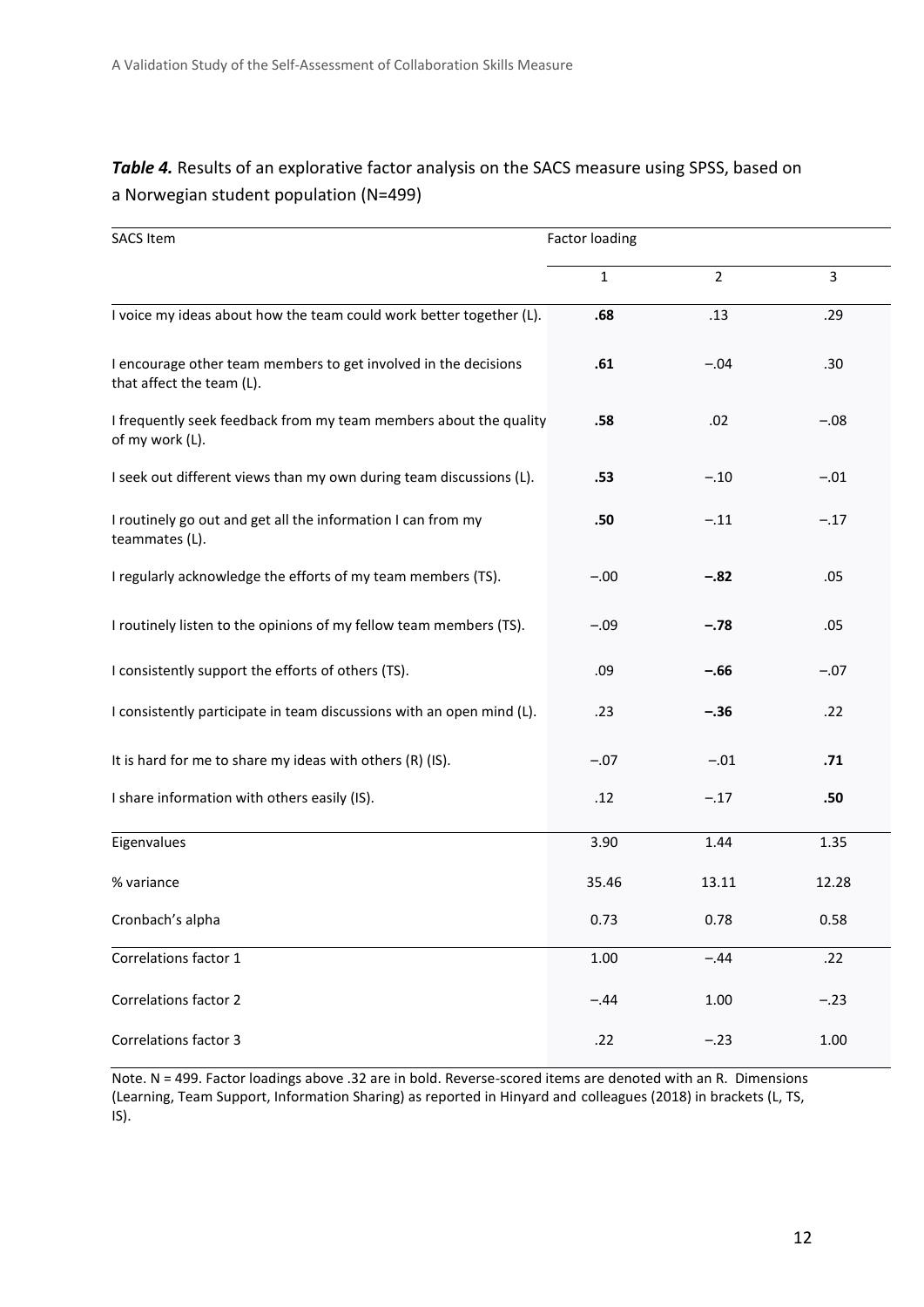| <b>SACS Item</b>                                                                             | <b>Factor loading</b> |                |        |
|----------------------------------------------------------------------------------------------|-----------------------|----------------|--------|
|                                                                                              | 1                     | $\overline{2}$ | 3      |
| I voice my ideas about how the team could work better together (L).                          | .68                   | .13            | .29    |
| I encourage other team members to get involved in the decisions<br>that affect the team (L). | .61                   | $-.04$         | .30    |
| I frequently seek feedback from my team members about the quality<br>of my work (L).         | .58                   | .02            | $-.08$ |
| I seek out different views than my own during team discussions (L).                          | .53                   | $-.10$         | $-.01$ |
| I routinely go out and get all the information I can from my<br>teammates (L).               | .50                   | $-.11$         | $-.17$ |
| I regularly acknowledge the efforts of my team members (TS).                                 | $-.00$                | $-.82$         | .05    |
| I routinely listen to the opinions of my fellow team members (TS).                           | $-.09$                | $-.78$         | .05    |
| I consistently support the efforts of others (TS).                                           | .09                   | $-.66$         | $-.07$ |
| I consistently participate in team discussions with an open mind (L).                        | .23                   | $-.36$         | .22    |
| It is hard for me to share my ideas with others (R) (IS).                                    | $-.07$                | $-.01$         | .71    |
| I share information with others easily (IS).                                                 | .12                   | $-.17$         | .50    |
| Eigenvalues                                                                                  | 3.90                  | 1.44           | 1.35   |
| % variance                                                                                   | 35.46                 | 13.11          | 12.28  |
| Cronbach's alpha                                                                             | 0.73                  | 0.78           | 0.58   |
| Correlations factor 1                                                                        | 1.00                  | $-.44$         | .22    |
| <b>Correlations factor 2</b>                                                                 | $-.44$                | 1.00           | $-.23$ |
| <b>Correlations factor 3</b>                                                                 | .22                   | $-.23$         | 1.00   |

#### *Table 4.* Results of an explorative factor analysis on the SACS measure using SPSS, based on a Norwegian student population (N=499)

Note. N = 499. Factor loadings above .32 are in bold. Reverse-scored items are denoted with an R. Dimensions (Learning, Team Support, Information Sharing) as reported in Hinyard and colleagues (2018) in brackets (L, TS, IS).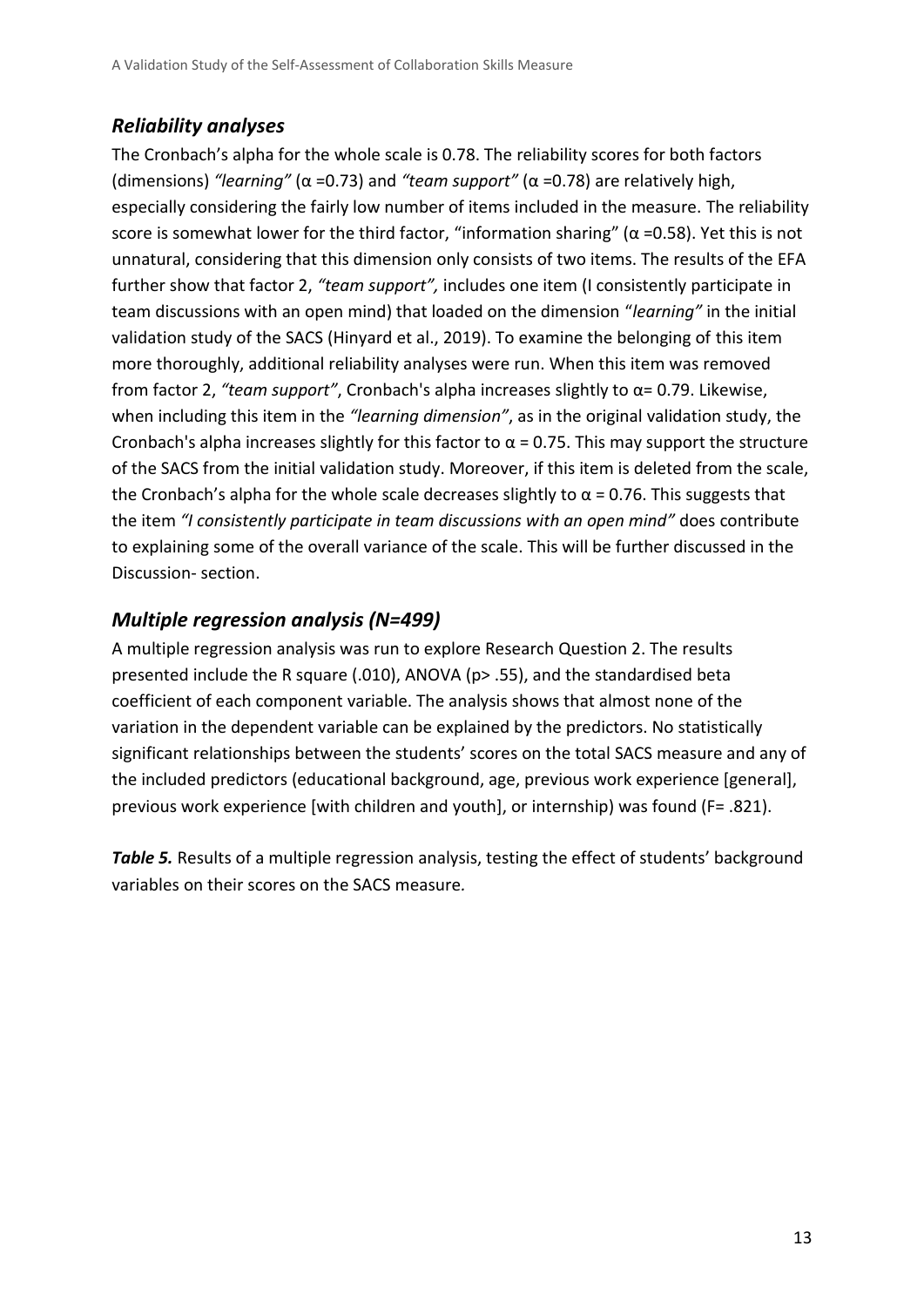#### *Reliability analyses*

The Cronbach's alpha for the whole scale is 0.78. The reliability scores for both factors (dimensions) *"learning"* (α =0.73) and *"team support"* (α =0.78) are relatively high, especially considering the fairly low number of items included in the measure. The reliability score is somewhat lower for the third factor, "information sharing" ( $\alpha$  =0.58). Yet this is not unnatural, considering that this dimension only consists of two items. The results of the EFA further show that factor 2, *"team support",* includes one item (I consistently participate in team discussions with an open mind) that loaded on the dimension "*learning"* in the initial validation study of the SACS (Hinyard et al., 2019). To examine the belonging of this item more thoroughly, additional reliability analyses were run. When this item was removed from factor 2, *"team support"*, Cronbach's alpha increases slightly to α= 0.79. Likewise, when including this item in the *"learning dimension"*, as in the original validation study, the Cronbach's alpha increases slightly for this factor to  $\alpha$  = 0.75. This may support the structure of the SACS from the initial validation study. Moreover, if this item is deleted from the scale, the Cronbach's alpha for the whole scale decreases slightly to  $\alpha$  = 0.76. This suggests that the item *"I consistently participate in team discussions with an open mind"* does contribute to explaining some of the overall variance of the scale. This will be further discussed in the Discussion- section.

#### *Multiple regression analysis (N=499)*

A multiple regression analysis was run to explore Research Question 2. The results presented include the R square (.010), ANOVA (p> .55), and the standardised beta coefficient of each component variable. The analysis shows that almost none of the variation in the dependent variable can be explained by the predictors. No statistically significant relationships between the students' scores on the total SACS measure and any of the included predictors (educational background, age, previous work experience [general], previous work experience [with children and youth], or internship) was found (F= .821).

**Table 5.** Results of a multiple regression analysis, testing the effect of students' background variables on their scores on the SACS measure*.*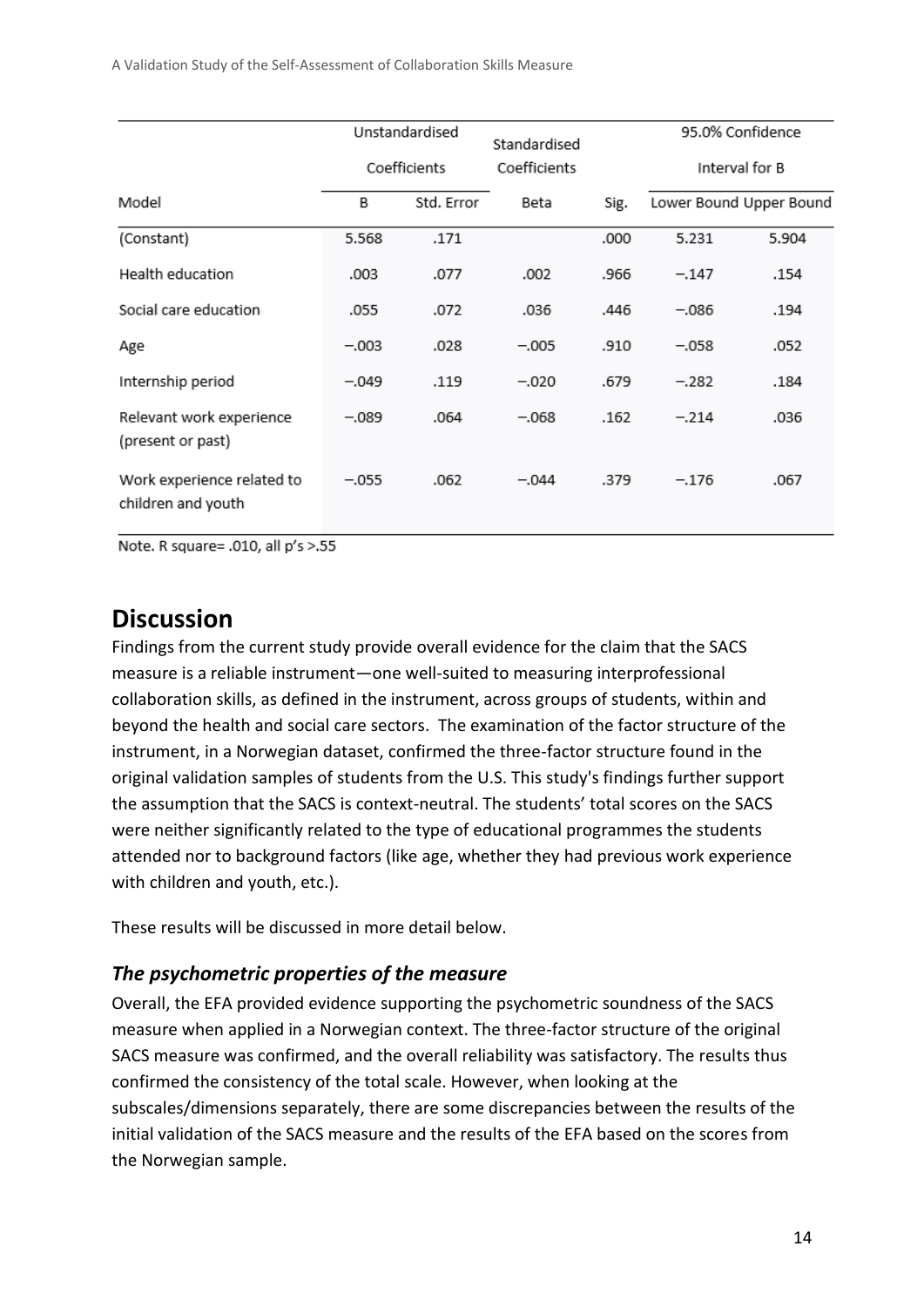A Validation Study of the Self-Assessment of Collaboration Skills Measure

|                                                  |              | Unstandardised | Standardised |      | 95.0% Confidence |                         |
|--------------------------------------------------|--------------|----------------|--------------|------|------------------|-------------------------|
|                                                  | Coefficients |                | Coefficients |      | Interval for B   |                         |
| Model                                            | В            | Std. Error     | Beta         | Sig. |                  | Lower Bound Upper Bound |
| (Constant)                                       | 5.568        | .171           |              | .000 | 5.231            | 5.904                   |
| Health education                                 | .003         | .077           | .002         | .966 | $-.147$          | .154                    |
| Social care education                            | .055         | .072           | .036         | .446 | $-.086$          | .194                    |
| Age                                              | $-.003$      | .028           | $-.005$      | .910 | $-.058$          | .052                    |
| Internship period                                | $-.049$      | .119           | $-.020$      | .679 | $-.282$          | .184                    |
| Relevant work experience<br>(present or past)    | $-.089$      | .064           | $-.068$      | .162 | $-.214$          | .036                    |
| Work experience related to<br>children and youth | $-.055$      | .062           | $-.044$      | .379 | $-.176$          | .067                    |

Note. R square= .010, all p's >.55

### **Discussion**

Findings from the current study provide overall evidence for the claim that the SACS measure is a reliable instrument—one well-suited to measuring interprofessional collaboration skills, as defined in the instrument, across groups of students, within and beyond the health and social care sectors. The examination of the factor structure of the instrument, in a Norwegian dataset, confirmed the three-factor structure found in the original validation samples of students from the U.S. This study's findings further support the assumption that the SACS is context-neutral. The students' total scores on the SACS were neither significantly related to the type of educational programmes the students attended nor to background factors (like age, whether they had previous work experience with children and youth, etc.).

These results will be discussed in more detail below.

#### *The psychometric properties of the measure*

Overall, the EFA provided evidence supporting the psychometric soundness of the SACS measure when applied in a Norwegian context. The three-factor structure of the original SACS measure was confirmed, and the overall reliability was satisfactory. The results thus confirmed the consistency of the total scale. However, when looking at the subscales/dimensions separately, there are some discrepancies between the results of the initial validation of the SACS measure and the results of the EFA based on the scores from the Norwegian sample.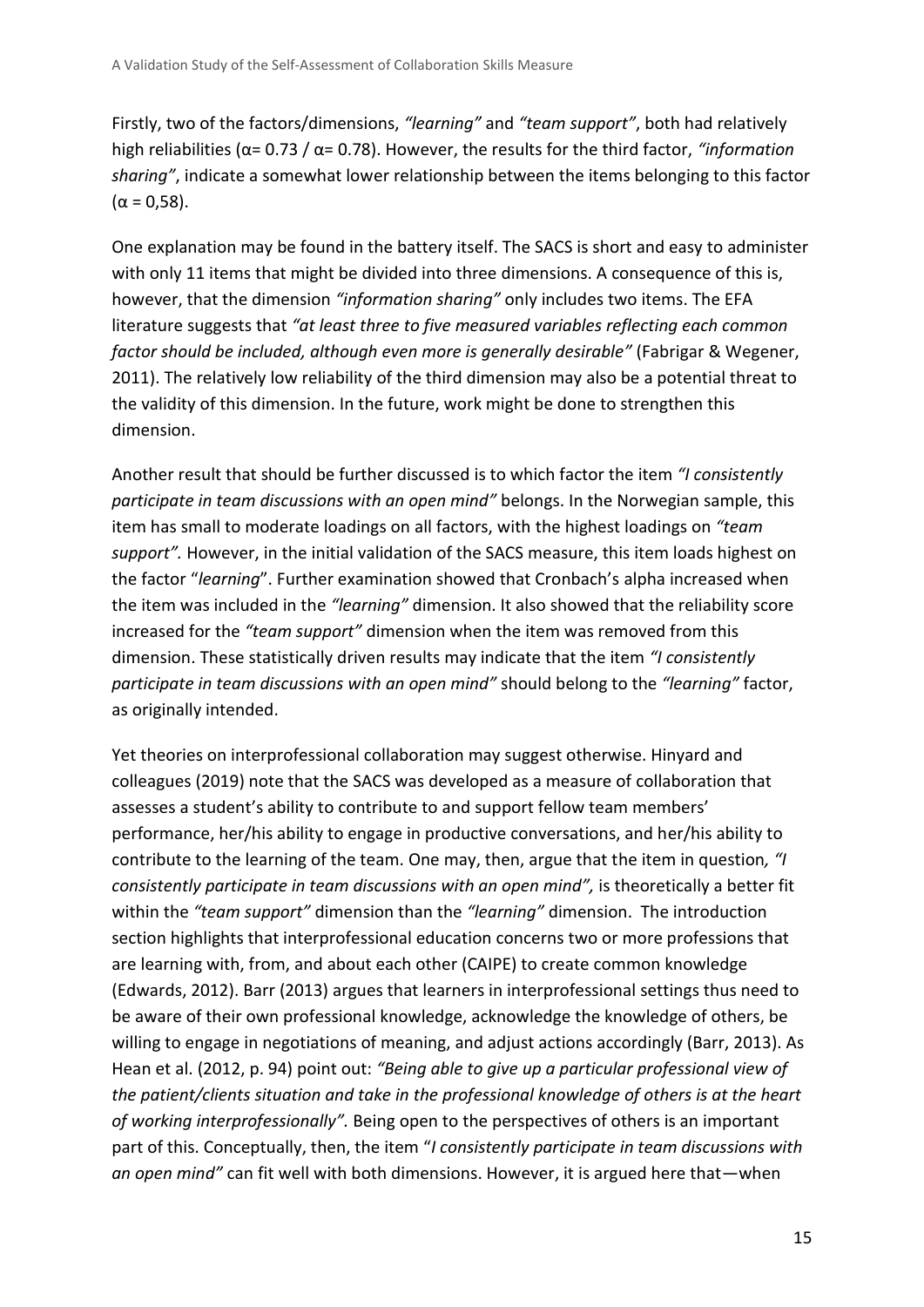Firstly, two of the factors/dimensions, *"learning"* and *"team support"*, both had relatively high reliabilities (α= 0.73 / α= 0.78). However, the results for the third factor, *"information sharing"*, indicate a somewhat lower relationship between the items belonging to this factor (α = 0,58).

One explanation may be found in the battery itself. The SACS is short and easy to administer with only 11 items that might be divided into three dimensions. A consequence of this is, however, that the dimension *"information sharing"* only includes two items. The EFA literature suggests that *"at least three to five measured variables reflecting each common factor should be included, although even more is generally desirable"* (Fabrigar & Wegener, 2011). The relatively low reliability of the third dimension may also be a potential threat to the validity of this dimension. In the future, work might be done to strengthen this dimension.

Another result that should be further discussed is to which factor the item *"I consistently participate in team discussions with an open mind"* belongs. In the Norwegian sample, this item has small to moderate loadings on all factors, with the highest loadings on *"team support".* However, in the initial validation of the SACS measure, this item loads highest on the factor "*learning*". Further examination showed that Cronbach's alpha increased when the item was included in the *"learning"* dimension. It also showed that the reliability score increased for the *"team support"* dimension when the item was removed from this dimension. These statistically driven results may indicate that the item *"I consistently participate in team discussions with an open mind"* should belong to the *"learning"* factor, as originally intended.

Yet theories on interprofessional collaboration may suggest otherwise. Hinyard and colleagues (2019) note that the SACS was developed as a measure of collaboration that assesses a student's ability to contribute to and support fellow team members' performance, her/his ability to engage in productive conversations, and her/his ability to contribute to the learning of the team. One may, then, argue that the item in question*, "I consistently participate in team discussions with an open mind",* is theoretically a better fit within the *"team support"* dimension than the *"learning"* dimension. The introduction section highlights that interprofessional education concerns two or more professions that are learning with, from, and about each other (CAIPE) to create common knowledge (Edwards, 2012). Barr (2013) argues that learners in interprofessional settings thus need to be aware of their own professional knowledge, acknowledge the knowledge of others, be willing to engage in negotiations of meaning, and adjust actions accordingly (Barr, 2013). As Hean et al. (2012, p. 94) point out: *"Being able to give up a particular professional view of the patient/clients situation and take in the professional knowledge of others is at the heart of working interprofessionally".* Being open to the perspectives of others is an important part of this. Conceptually, then, the item "*I consistently participate in team discussions with an open mind"* can fit well with both dimensions. However, it is argued here that—when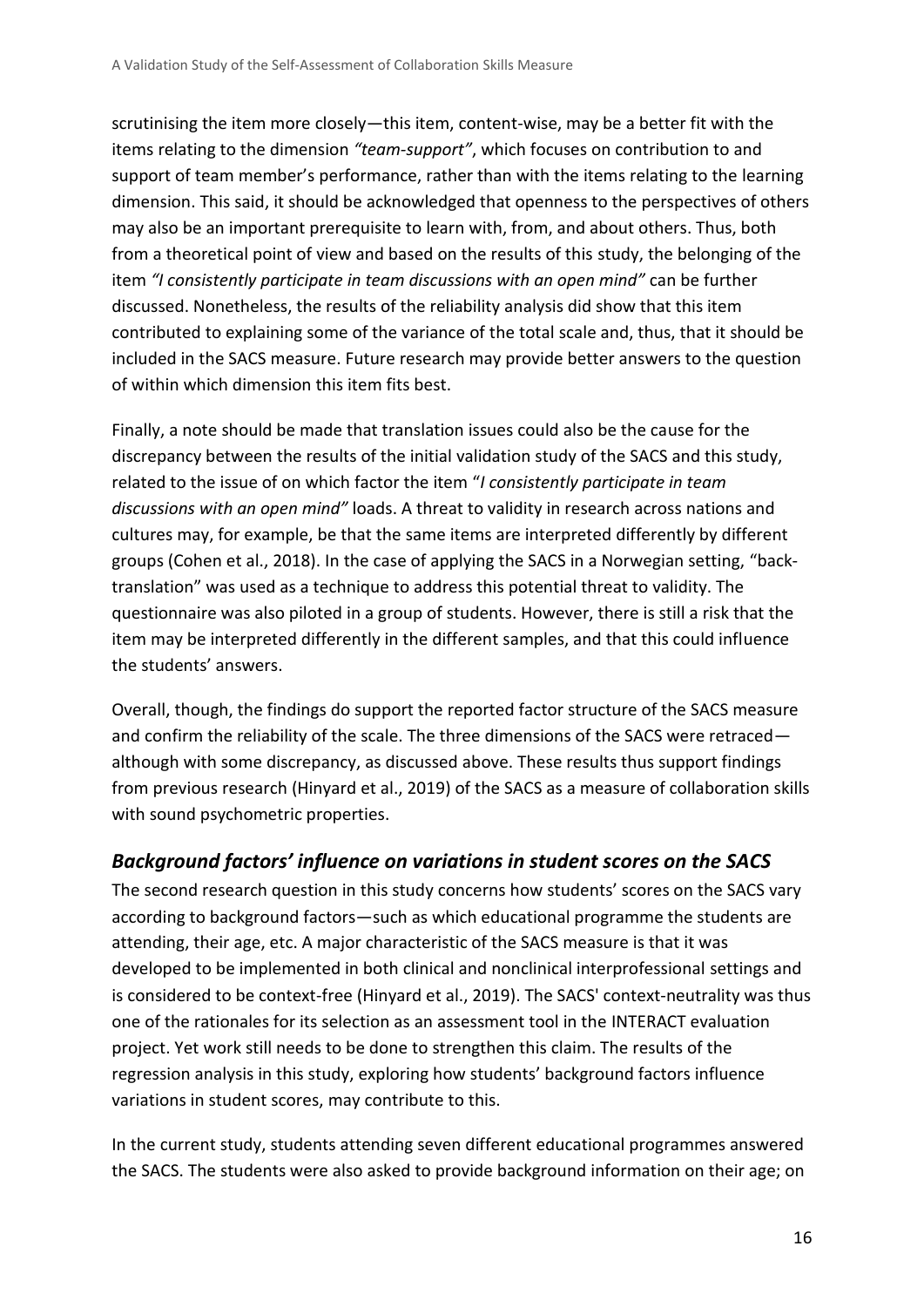scrutinising the item more closely—this item, content-wise, may be a better fit with the items relating to the dimension *"team-support"*, which focuses on contribution to and support of team member's performance, rather than with the items relating to the learning dimension. This said, it should be acknowledged that openness to the perspectives of others may also be an important prerequisite to learn with, from, and about others. Thus, both from a theoretical point of view and based on the results of this study, the belonging of the item *"I consistently participate in team discussions with an open mind"* can be further discussed. Nonetheless, the results of the reliability analysis did show that this item contributed to explaining some of the variance of the total scale and, thus, that it should be included in the SACS measure. Future research may provide better answers to the question of within which dimension this item fits best.

Finally, a note should be made that translation issues could also be the cause for the discrepancy between the results of the initial validation study of the SACS and this study, related to the issue of on which factor the item "*I consistently participate in team discussions with an open mind"* loads. A threat to validity in research across nations and cultures may, for example, be that the same items are interpreted differently by different groups (Cohen et al., 2018). In the case of applying the SACS in a Norwegian setting, "backtranslation" was used as a technique to address this potential threat to validity. The questionnaire was also piloted in a group of students. However, there is still a risk that the item may be interpreted differently in the different samples, and that this could influence the students' answers.

Overall, though, the findings do support the reported factor structure of the SACS measure and confirm the reliability of the scale. The three dimensions of the SACS were retraced although with some discrepancy, as discussed above. These results thus support findings from previous research (Hinyard et al., 2019) of the SACS as a measure of collaboration skills with sound psychometric properties.

#### *Background factors' influence on variations in student scores on the SACS*

The second research question in this study concerns how students' scores on the SACS vary according to background factors—such as which educational programme the students are attending, their age, etc. A major characteristic of the SACS measure is that it was developed to be implemented in both clinical and nonclinical interprofessional settings and is considered to be context-free (Hinyard et al., 2019). The SACS' context-neutrality was thus one of the rationales for its selection as an assessment tool in the INTERACT evaluation project. Yet work still needs to be done to strengthen this claim. The results of the regression analysis in this study, exploring how students' background factors influence variations in student scores, may contribute to this.

In the current study, students attending seven different educational programmes answered the SACS. The students were also asked to provide background information on their age; on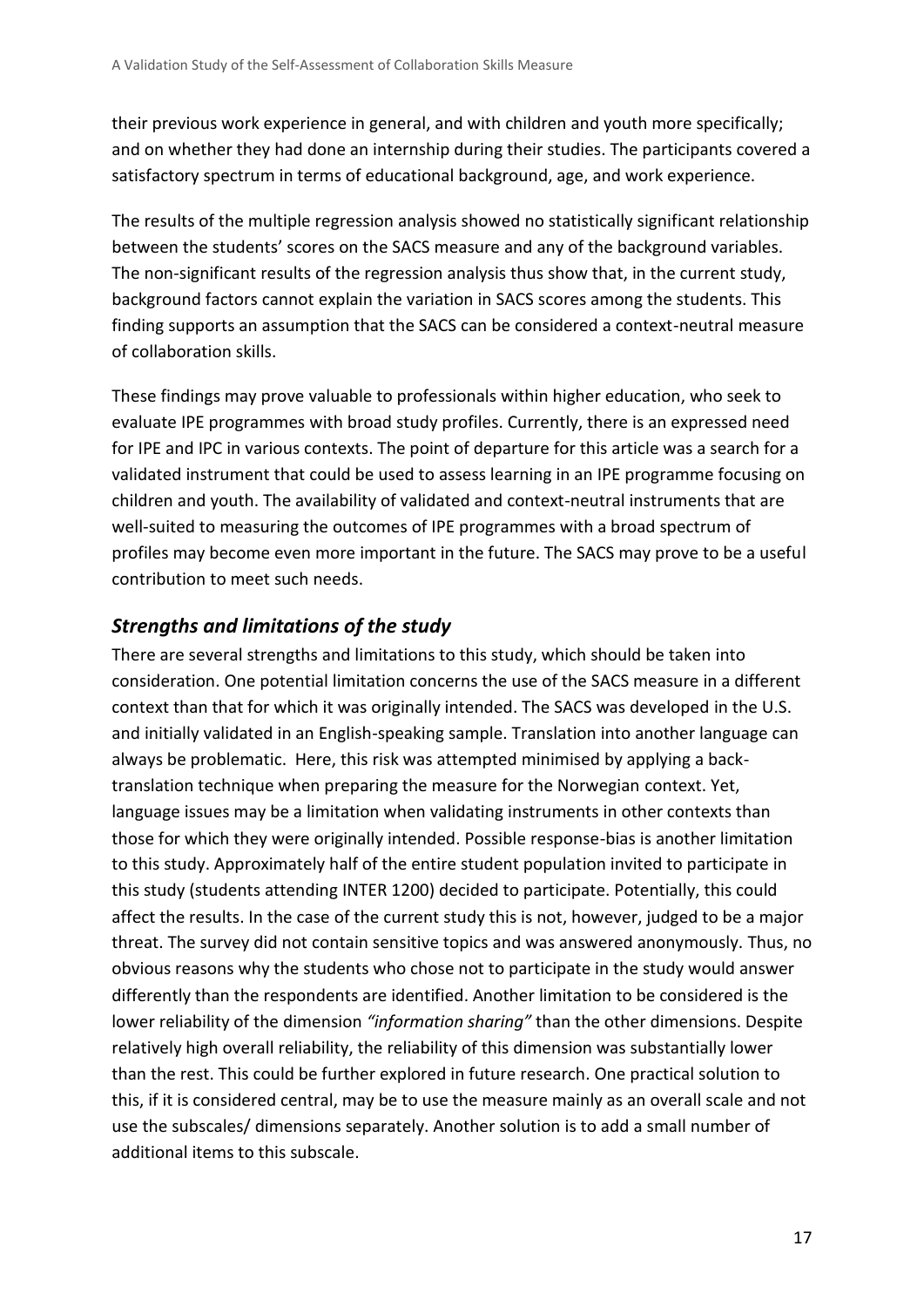their previous work experience in general, and with children and youth more specifically; and on whether they had done an internship during their studies. The participants covered a satisfactory spectrum in terms of educational background, age, and work experience.

The results of the multiple regression analysis showed no statistically significant relationship between the students' scores on the SACS measure and any of the background variables. The non-significant results of the regression analysis thus show that, in the current study, background factors cannot explain the variation in SACS scores among the students. This finding supports an assumption that the SACS can be considered a context-neutral measure of collaboration skills.

These findings may prove valuable to professionals within higher education, who seek to evaluate IPE programmes with broad study profiles. Currently, there is an expressed need for IPE and IPC in various contexts. The point of departure for this article was a search for a validated instrument that could be used to assess learning in an IPE programme focusing on children and youth. The availability of validated and context-neutral instruments that are well-suited to measuring the outcomes of IPE programmes with a broad spectrum of profiles may become even more important in the future. The SACS may prove to be a useful contribution to meet such needs.

#### *Strengths and limitations of the study*

There are several strengths and limitations to this study, which should be taken into consideration. One potential limitation concerns the use of the SACS measure in a different context than that for which it was originally intended. The SACS was developed in the U.S. and initially validated in an English-speaking sample. Translation into another language can always be problematic. Here, this risk was attempted minimised by applying a backtranslation technique when preparing the measure for the Norwegian context. Yet, language issues may be a limitation when validating instruments in other contexts than those for which they were originally intended. Possible response-bias is another limitation to this study. Approximately half of the entire student population invited to participate in this study (students attending INTER 1200) decided to participate. Potentially, this could affect the results. In the case of the current study this is not, however, judged to be a major threat. The survey did not contain sensitive topics and was answered anonymously. Thus, no obvious reasons why the students who chose not to participate in the study would answer differently than the respondents are identified. Another limitation to be considered is the lower reliability of the dimension *"information sharing"* than the other dimensions. Despite relatively high overall reliability, the reliability of this dimension was substantially lower than the rest. This could be further explored in future research. One practical solution to this, if it is considered central, may be to use the measure mainly as an overall scale and not use the subscales/ dimensions separately. Another solution is to add a small number of additional items to this subscale.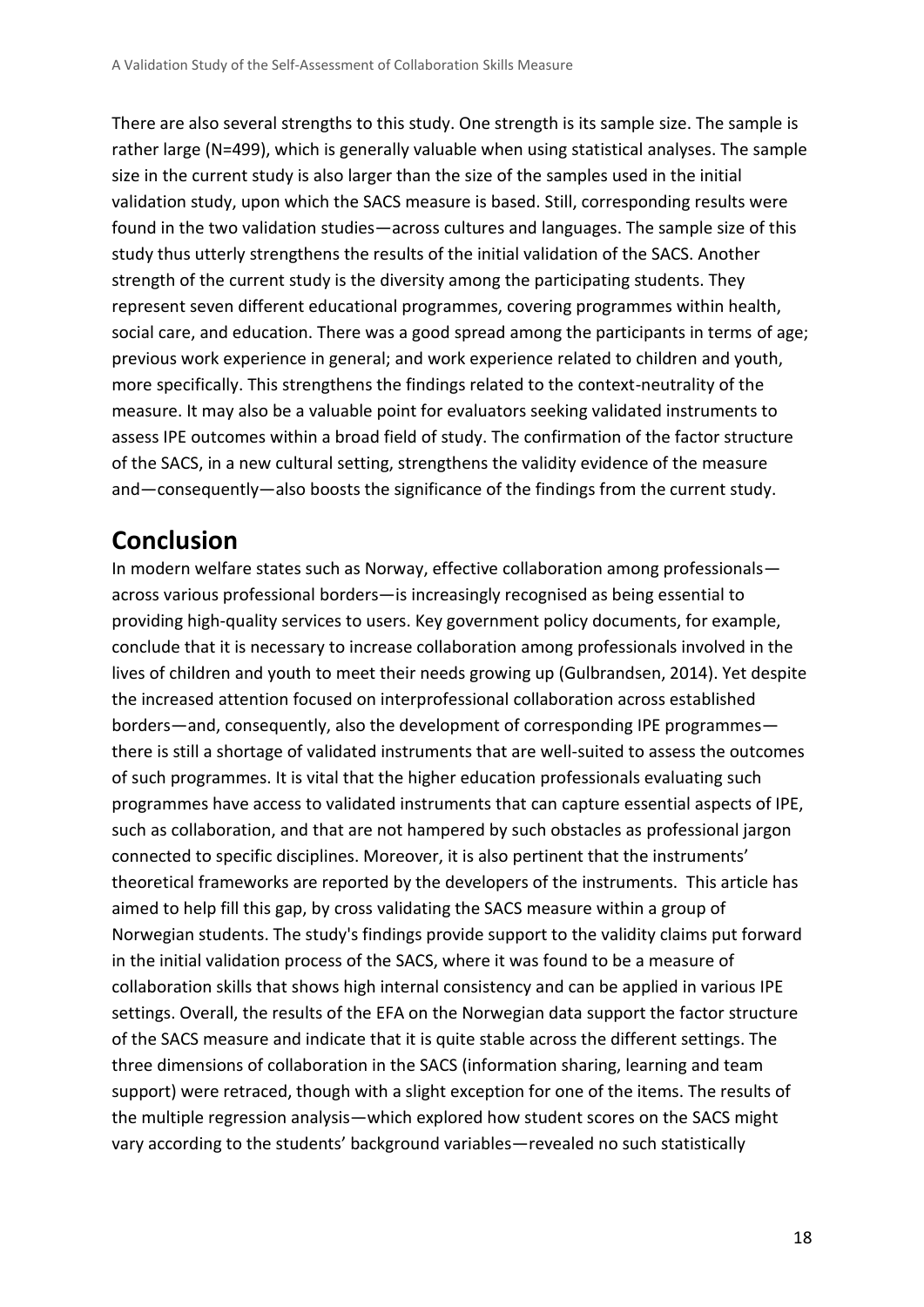There are also several strengths to this study. One strength is its sample size. The sample is rather large (N=499), which is generally valuable when using statistical analyses. The sample size in the current study is also larger than the size of the samples used in the initial validation study, upon which the SACS measure is based. Still, corresponding results were found in the two validation studies—across cultures and languages. The sample size of this study thus utterly strengthens the results of the initial validation of the SACS. Another strength of the current study is the diversity among the participating students. They represent seven different educational programmes, covering programmes within health, social care, and education. There was a good spread among the participants in terms of age; previous work experience in general; and work experience related to children and youth, more specifically. This strengthens the findings related to the context-neutrality of the measure. It may also be a valuable point for evaluators seeking validated instruments to assess IPE outcomes within a broad field of study. The confirmation of the factor structure of the SACS, in a new cultural setting, strengthens the validity evidence of the measure and—consequently—also boosts the significance of the findings from the current study.

## **Conclusion**

In modern welfare states such as Norway, effective collaboration among professionals across various professional borders—is increasingly recognised as being essential to providing high-quality services to users. Key government policy documents, for example, conclude that it is necessary to increase collaboration among professionals involved in the lives of children and youth to meet their needs growing up (Gulbrandsen, 2014). Yet despite the increased attention focused on interprofessional collaboration across established borders—and, consequently, also the development of corresponding IPE programmes there is still a shortage of validated instruments that are well-suited to assess the outcomes of such programmes. It is vital that the higher education professionals evaluating such programmes have access to validated instruments that can capture essential aspects of IPE, such as collaboration, and that are not hampered by such obstacles as professional jargon connected to specific disciplines. Moreover, it is also pertinent that the instruments' theoretical frameworks are reported by the developers of the instruments. This article has aimed to help fill this gap, by cross validating the SACS measure within a group of Norwegian students. The study's findings provide support to the validity claims put forward in the initial validation process of the SACS, where it was found to be a measure of collaboration skills that shows high internal consistency and can be applied in various IPE settings. Overall, the results of the EFA on the Norwegian data support the factor structure of the SACS measure and indicate that it is quite stable across the different settings. The three dimensions of collaboration in the SACS (information sharing, learning and team support) were retraced, though with a slight exception for one of the items. The results of the multiple regression analysis—which explored how student scores on the SACS might vary according to the students' background variables—revealed no such statistically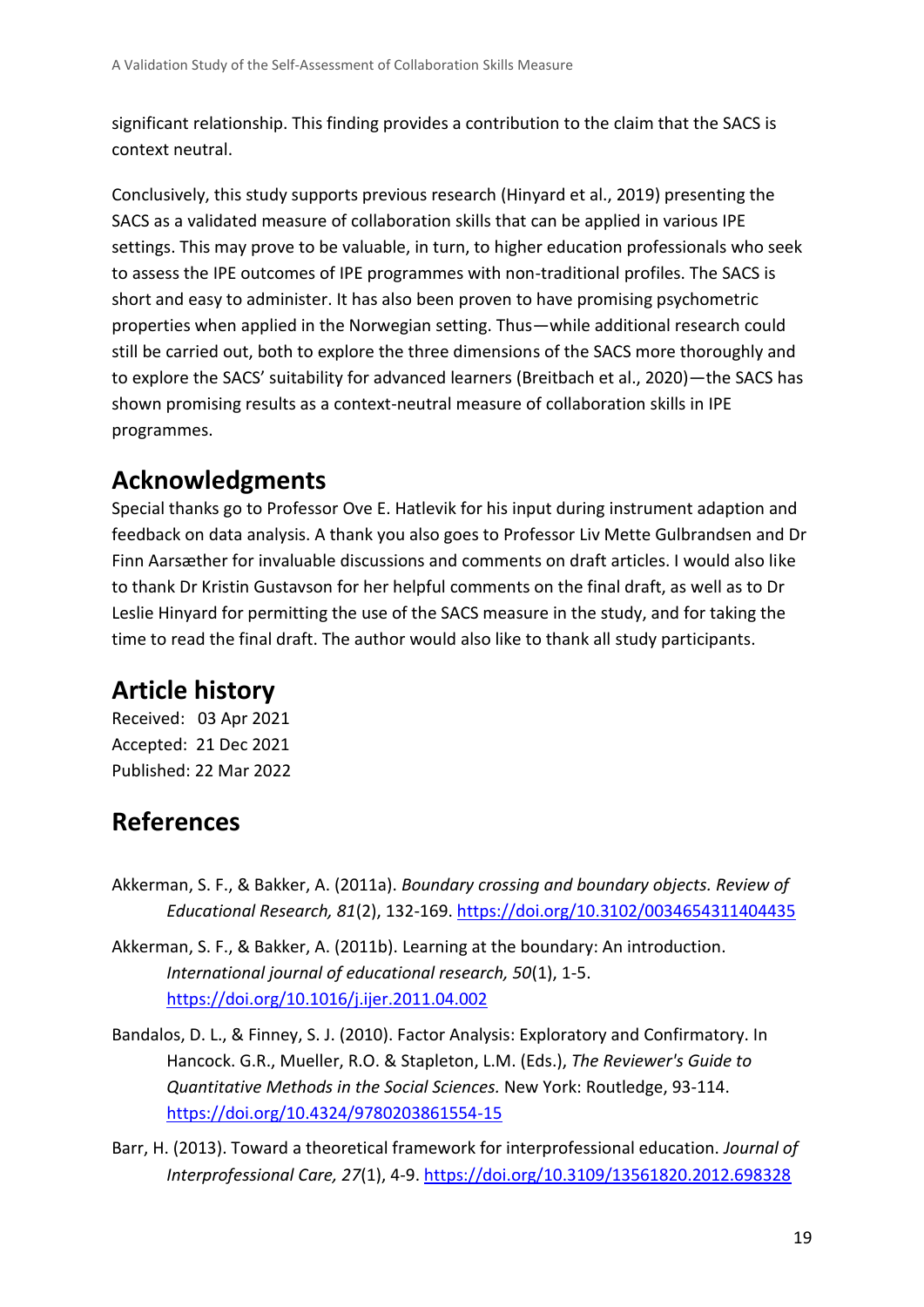significant relationship. This finding provides a contribution to the claim that the SACS is context neutral.

Conclusively, this study supports previous research (Hinyard et al., 2019) presenting the SACS as a validated measure of collaboration skills that can be applied in various IPE settings. This may prove to be valuable, in turn, to higher education professionals who seek to assess the IPE outcomes of IPE programmes with non-traditional profiles. The SACS is short and easy to administer. It has also been proven to have promising psychometric properties when applied in the Norwegian setting. Thus—while additional research could still be carried out, both to explore the three dimensions of the SACS more thoroughly and to explore the SACS' suitability for advanced learners (Breitbach et al., 2020)—the SACS has shown promising results as a context-neutral measure of collaboration skills in IPE programmes.

# **Acknowledgments**

Special thanks go to Professor Ove E. Hatlevik for his input during instrument adaption and feedback on data analysis. A thank you also goes to Professor Liv Mette Gulbrandsen and Dr Finn Aarsæther for invaluable discussions and comments on draft articles. I would also like to thank Dr Kristin Gustavson for her helpful comments on the final draft, as well as to Dr Leslie Hinyard for permitting the use of the SACS measure in the study, and for taking the time to read the final draft. The author would also like to thank all study participants.

# **Article history**

Received: 03 Apr 2021 Accepted: 21 Dec 2021 Published: 22 Mar 2022

# **References**

- Akkerman, S. F., & Bakker, A. (2011a). *Boundary crossing and boundary objects. Review of Educational Research, 81*(2), 132-169.<https://doi.org/10.3102/0034654311404435>
- Akkerman, S. F., & Bakker, A. (2011b). Learning at the boundary: An introduction. *International journal of educational research, 50*(1), 1-5. <https://doi.org/10.1016/j.ijer.2011.04.002>
- Bandalos, D. L., & Finney, S. J. (2010). Factor Analysis: Exploratory and Confirmatory. In Hancock. G.R., Mueller, R.O. & Stapleton, L.M. (Eds.), *The Reviewer's Guide to Quantitative Methods in the Social Sciences.* New York: Routledge, 93-114. <https://doi.org/10.4324/9780203861554-15>
- Barr, H. (2013). Toward a theoretical framework for interprofessional education. *Journal of Interprofessional Care, 27*(1), 4-9.<https://doi.org/10.3109/13561820.2012.698328>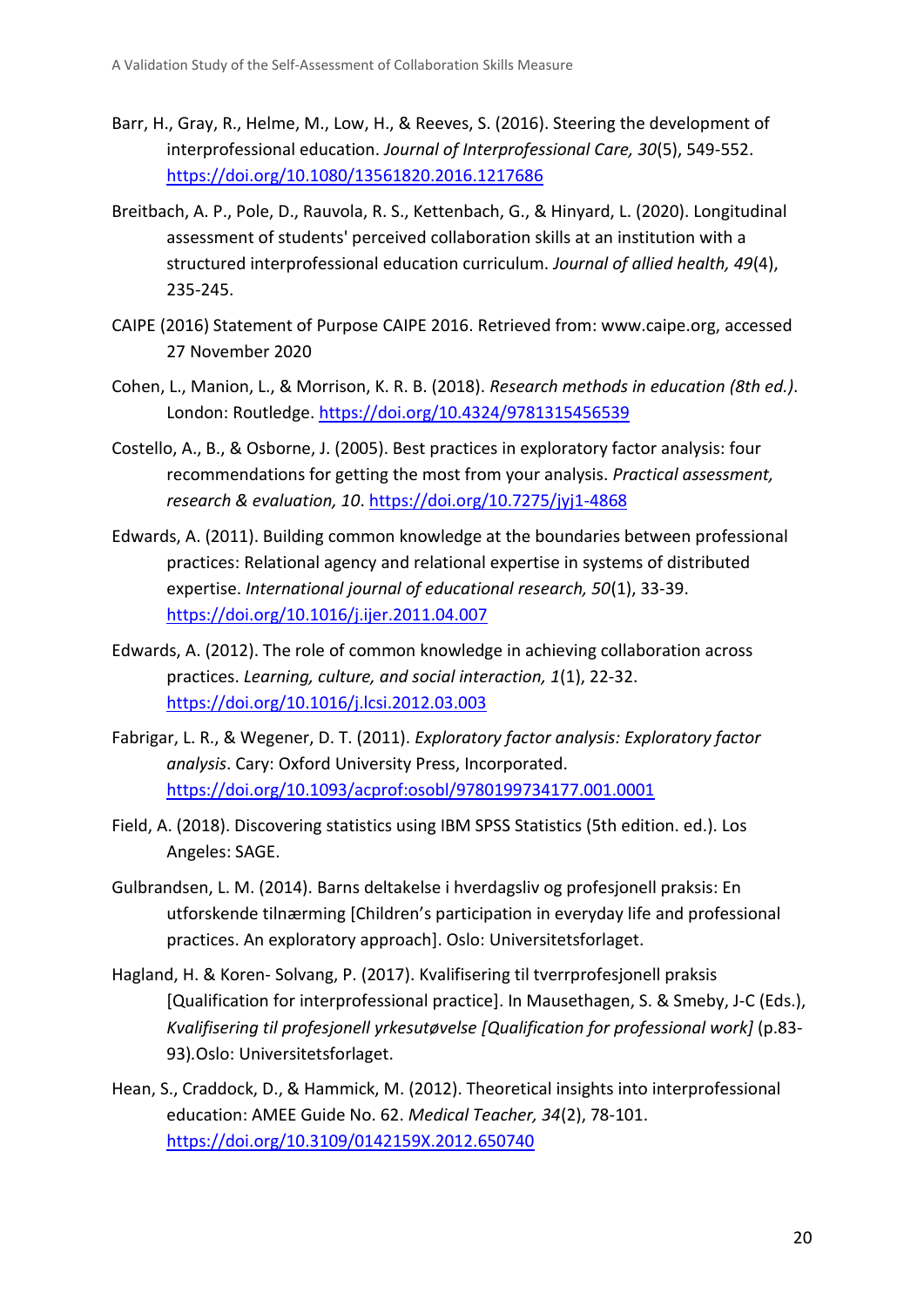- Barr, H., Gray, R., Helme, M., Low, H., & Reeves, S. (2016). Steering the development of interprofessional education. *Journal of Interprofessional Care, 30*(5), 549-552. <https://doi.org/10.1080/13561820.2016.1217686>
- Breitbach, A. P., Pole, D., Rauvola, R. S., Kettenbach, G., & Hinyard, L. (2020). Longitudinal assessment of students' perceived collaboration skills at an institution with a structured interprofessional education curriculum. *Journal of allied health, 49*(4), 235-245.
- CAIPE (2016) Statement of Purpose CAIPE 2016. Retrieved from: www.caipe.org, accessed 27 November 2020
- Cohen, L., Manion, L., & Morrison, K. R. B. (2018). *Research methods in education (8th ed.)*. London: Routledge. <https://doi.org/10.4324/9781315456539>
- Costello, A., B., & Osborne, J. (2005). Best practices in exploratory factor analysis: four recommendations for getting the most from your analysis. *Practical assessment, research & evaluation, 10*.<https://doi.org/10.7275/jyj1-4868>
- Edwards, A. (2011). Building common knowledge at the boundaries between professional practices: Relational agency and relational expertise in systems of distributed expertise. *International journal of educational research, 50*(1), 33-39. <https://doi.org/10.1016/j.ijer.2011.04.007>
- Edwards, A. (2012). The role of common knowledge in achieving collaboration across practices. *Learning, culture, and social interaction, 1*(1), 22-32. <https://doi.org/10.1016/j.lcsi.2012.03.003>
- Fabrigar, L. R., & Wegener, D. T. (2011). *Exploratory factor analysis: Exploratory factor analysis*. Cary: Oxford University Press, Incorporated. <https://doi.org/10.1093/acprof:osobl/9780199734177.001.0001>
- Field, A. (2018). Discovering statistics using IBM SPSS Statistics (5th edition. ed.). Los Angeles: SAGE.
- Gulbrandsen, L. M. (2014). Barns deltakelse i hverdagsliv og profesjonell praksis: En utforskende tilnærming [Children's participation in everyday life and professional practices. An exploratory approach]. Oslo: Universitetsforlaget.
- Hagland, H. & Koren- Solvang, P. (2017). Kvalifisering til tverrprofesjonell praksis [Qualification for interprofessional practice]. In Mausethagen, S. & Smeby, J-C (Eds.), *Kvalifisering til profesjonell yrkesutøvelse [Qualification for professional work]* (p.83- 93)*.*Oslo: Universitetsforlaget.
- Hean, S., Craddock, D., & Hammick, M. (2012). Theoretical insights into interprofessional education: AMEE Guide No. 62. *Medical Teacher, 34*(2), 78-101. <https://doi.org/10.3109/0142159X.2012.650740>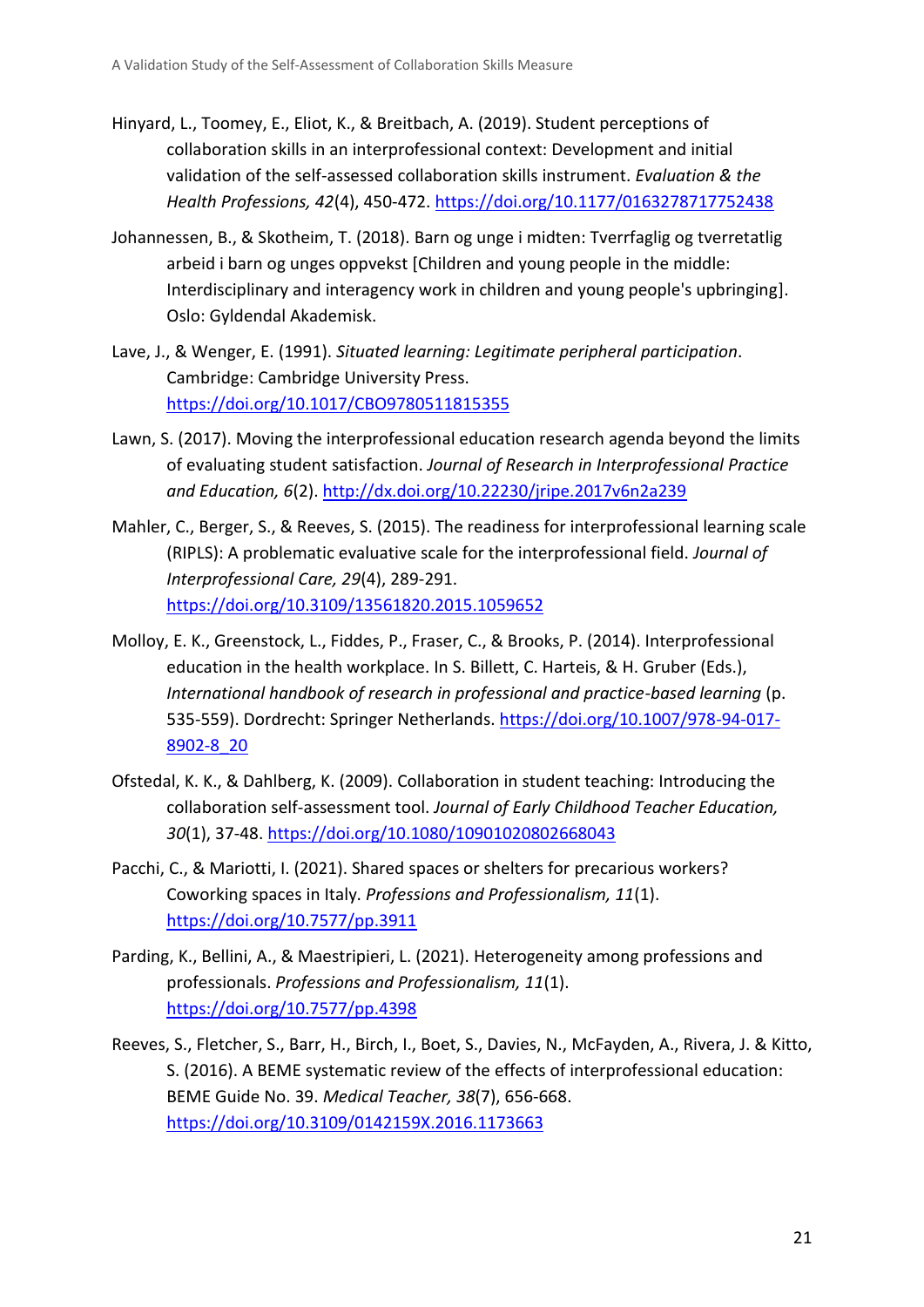- Hinyard, L., Toomey, E., Eliot, K., & Breitbach, A. (2019). Student perceptions of collaboration skills in an interprofessional context: Development and initial validation of the self-assessed collaboration skills instrument. *Evaluation & the Health Professions, 42*(4), 450-472.<https://doi.org/10.1177/0163278717752438>
- Johannessen, B., & Skotheim, T. (2018). Barn og unge i midten: Tverrfaglig og tverretatlig arbeid i barn og unges oppvekst [Children and young people in the middle: Interdisciplinary and interagency work in children and young people's upbringing]. Oslo: Gyldendal Akademisk.
- Lave, J., & Wenger, E. (1991). *Situated learning: Legitimate peripheral participation*. Cambridge: Cambridge University Press. <https://doi.org/10.1017/CBO9780511815355>
- Lawn, S. (2017). Moving the interprofessional education research agenda beyond the limits of evaluating student satisfaction. *Journal of Research in Interprofessional Practice and Education, 6*(2).<http://dx.doi.org/10.22230/jripe.2017v6n2a239>
- Mahler, C., Berger, S., & Reeves, S. (2015). The readiness for interprofessional learning scale (RIPLS): A problematic evaluative scale for the interprofessional field. *Journal of Interprofessional Care, 29*(4), 289-291. <https://doi.org/10.3109/13561820.2015.1059652>
- Molloy, E. K., Greenstock, L., Fiddes, P., Fraser, C., & Brooks, P. (2014). Interprofessional education in the health workplace. In S. Billett, C. Harteis, & H. Gruber (Eds.), *International handbook of research in professional and practice-based learning* (p. 535-559). Dordrecht: Springer Netherlands. [https://doi.org/10.1007/978-94-017-](https://doi.org/10.1007/978-94-017-8902-8_20) [8902-8\\_20](https://doi.org/10.1007/978-94-017-8902-8_20)
- Ofstedal, K. K., & Dahlberg, K. (2009). Collaboration in student teaching: Introducing the collaboration self-assessment tool. *Journal of Early Childhood Teacher Education, 30*(1), 37-48.<https://doi.org/10.1080/10901020802668043>
- Pacchi, C., & Mariotti, I. (2021). Shared spaces or shelters for precarious workers? Coworking spaces in Italy. *Professions and Professionalism, 11*(1). <https://doi.org/10.7577/pp.3911>
- Parding, K., Bellini, A., & Maestripieri, L. (2021). Heterogeneity among professions and professionals. *Professions and Professionalism, 11*(1). <https://doi.org/10.7577/pp.4398>
- Reeves, S., Fletcher, S., Barr, H., Birch, I., Boet, S., Davies, N., McFayden, A., Rivera, J. & Kitto, S. (2016). A BEME systematic review of the effects of interprofessional education: BEME Guide No. 39. *Medical Teacher, 38*(7), 656-668. <https://doi.org/10.3109/0142159X.2016.1173663>